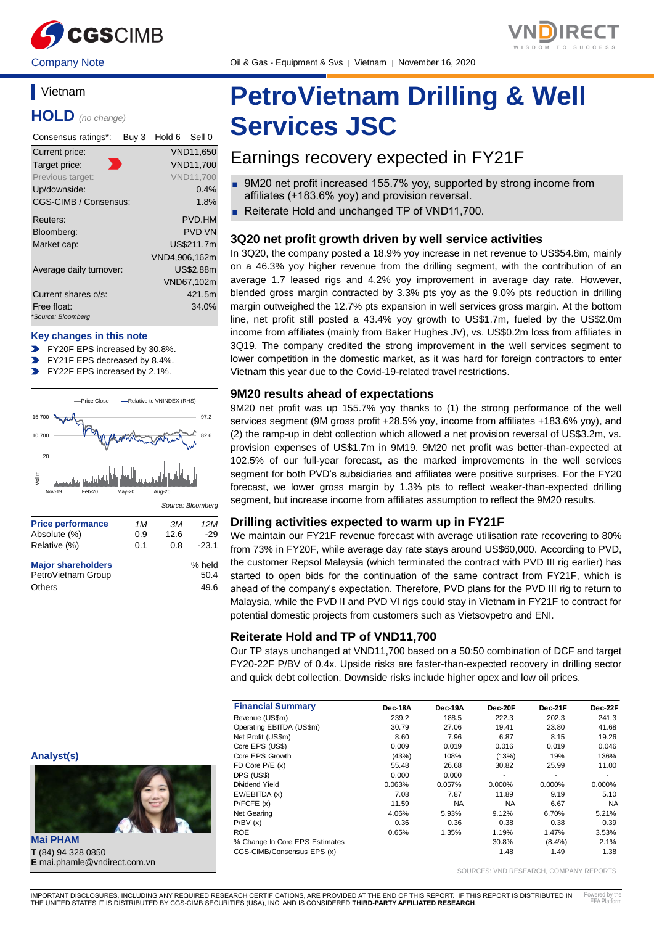

Company Note Company Oil & Gas - Equipment & Svs | Vietnam | November 16, 2020

## **Vietnam**

**HOLD** *(no change)*

| Consensus ratings*:               | Buy 3 | Hold 6        | Sell 0           |
|-----------------------------------|-------|---------------|------------------|
| Current price:                    |       |               | VND11,650        |
| Target price:                     |       |               | <b>VND11,700</b> |
| Previous target:                  |       |               | <b>VND11.700</b> |
| Up/downside:                      |       |               | $0.4\%$          |
| CGS-CIMB / Consensus:             |       |               | 1.8%             |
| Reuters:                          |       |               | PVD.HM           |
| Bloomberg:                        |       |               | <b>PVD VN</b>    |
| Market cap:                       |       |               | US\$211.7m       |
|                                   |       | VND4,906,162m |                  |
| Average daily turnover:           |       |               | <b>US\$2.88m</b> |
|                                   |       |               | VND67,102m       |
| Current shares o/s:               |       |               | 421.5m           |
| Free float:<br>*Source: Bloomberg |       |               | 34.0%            |
|                                   |       |               |                  |

#### **Key changes in this note**

- FY20F EPS increased by 30.8%.
- FY21F EPS decreased by 8.4%.
- FY22F EPS increased by 2.1%.  $\mathbf{v}$



# **PetroVietnam Drilling & Well Services JSC**

## Earnings recovery expected in FY21F

- 9M20 net profit increased 155.7% yoy, supported by strong income from affiliates (+183.6% yoy) and provision reversal.
- Reiterate Hold and unchanged TP of VND11,700.

#### **3Q20 net profit growth driven by well service activities**

In 3Q20, the company posted a 18.9% yoy increase in net revenue to US\$54.8m, mainly on a 46.3% yoy higher revenue from the drilling segment, with the contribution of an average 1.7 leased rigs and 4.2% yoy improvement in average day rate. However, blended gross margin contracted by 3.3% pts yoy as the 9.0% pts reduction in drilling margin outweighed the 12.7% pts expansion in well services gross margin. At the bottom line, net profit still posted a 43.4% yoy growth to US\$1.7m, fueled by the US\$2.0m income from affiliates (mainly from Baker Hughes JV), vs. US\$0.2m loss from affiliates in 3Q19. The company credited the strong improvement in the well services segment to lower competition in the domestic market, as it was hard for foreign contractors to enter Vietnam this year due to the Covid-19-related travel restrictions.

#### **9M20 results ahead of expectations**

9M20 net profit was up 155.7% yoy thanks to (1) the strong performance of the well services segment (9M gross profit +28.5% yoy, income from affiliates +183.6% yoy), and (2) the ramp-up in debt collection which allowed a net provision reversal of US\$3.2m, vs. provision expenses of US\$1.7m in 9M19. 9M20 net profit was better-than-expected at 102.5% of our full-year forecast, as the marked improvements in the well services segment for both PVD's subsidiaries and affiliates were positive surprises. For the FY20 forecast, we lower gross margin by 1.3% pts to reflect weaker-than-expected drilling segment, but increase income from affiliates assumption to reflect the 9M20 results.

#### **Drilling activities expected to warm up in FY21F**

We maintain our FY21F revenue forecast with average utilisation rate recovering to 80% from 73% in FY20F, while average day rate stays around US\$60,000. According to PVD, the customer Repsol Malaysia (which terminated the contract with PVD III rig earlier) has started to open bids for the continuation of the same contract from FY21F, which is ahead of the company's expectation. Therefore, PVD plans for the PVD III rig to return to Malaysia, while the PVD II and PVD VI rigs could stay in Vietnam in FY21F to contract for potential domestic projects from customers such as Vietsovpetro and ENI.

#### **Reiterate Hold and TP of VND11,700**

Our TP stays unchanged at VND11,700 based on a 50:50 combination of DCF and target FY20-22F P/BV of 0.4x. Upside risks are faster-than-expected recovery in drilling sector and quick debt collection. Downside risks include higher opex and low oil prices.

| <b>Financial Summary</b>       | Dec-18A | Dec-19A   | Dec-20F   | Dec-21F   | Dec-22F   |
|--------------------------------|---------|-----------|-----------|-----------|-----------|
| Revenue (US\$m)                | 239.2   | 188.5     | 222.3     | 202.3     | 241.3     |
| Operating EBITDA (US\$m)       | 30.79   | 27.06     | 19.41     | 23.80     | 41.68     |
| Net Profit (US\$m)             | 8.60    | 7.96      | 6.87      | 8.15      | 19.26     |
| Core EPS (US\$)                | 0.009   | 0.019     | 0.016     | 0.019     | 0.046     |
| Core EPS Growth                | (43%)   | 108%      | (13%)     | 19%       | 136%      |
| FD Core $P/E(x)$               | 55.48   | 26.68     | 30.82     | 25.99     | 11.00     |
| DPS (US\$)                     | 0.000   | 0.000     |           | ۰         | ۰         |
| Dividend Yield                 | 0.063%  | 0.057%    | 0.000%    | 0.000%    | 0.000%    |
| EV/EBITDA (x)                  | 7.08    | 7.87      | 11.89     | 9.19      | 5.10      |
| P/FCFE(x)                      | 11.59   | <b>NA</b> | <b>NA</b> | 6.67      | <b>NA</b> |
| Net Gearing                    | 4.06%   | 5.93%     | 9.12%     | 6.70%     | 5.21%     |
| P/BV(x)                        | 0.36    | 0.36      | 0.38      | 0.38      | 0.39      |
| <b>ROE</b>                     | 0.65%   | 1.35%     | 1.19%     | 1.47%     | 3.53%     |
| % Change In Core EPS Estimates |         |           | 30.8%     | $(8.4\%)$ | 2.1%      |
| CGS-CIMB/Consensus EPS (x)     |         |           | 1.48      | 1.49      | 1.38      |

SOURCES: VND RESEARCH, COMPANY REPORTS

**Mai PHAM T** (84) 94 328 0850 **E** mai.phamle@vndirect.com.vn

**Analyst(s)**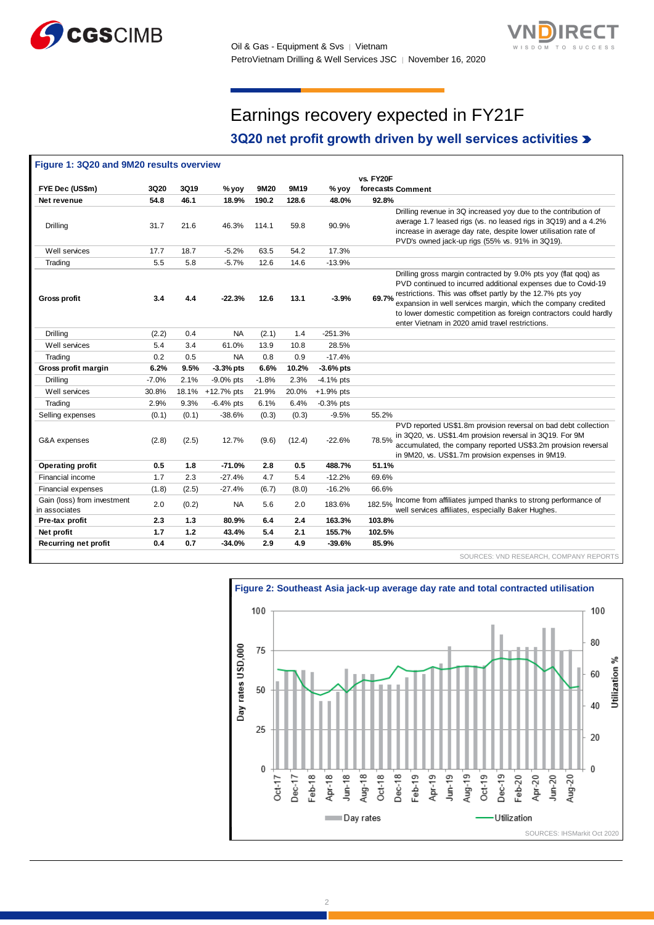



## Earnings recovery expected in FY21F

### **3Q20 net profit growth driven by well services activities**

|                                              |         |       |              |         |        |             | vs. FY20F                                                                                                                                                                                                                                                                                                                                                                                      |
|----------------------------------------------|---------|-------|--------------|---------|--------|-------------|------------------------------------------------------------------------------------------------------------------------------------------------------------------------------------------------------------------------------------------------------------------------------------------------------------------------------------------------------------------------------------------------|
| FYE Dec (US\$m)                              | 3Q20    | 3Q19  | % yoy        | 9M20    | 9M19   | $%$ yoy     | forecasts Comment                                                                                                                                                                                                                                                                                                                                                                              |
| Net revenue                                  | 54.8    | 46.1  | 18.9%        | 190.2   | 128.6  | 48.0%       | 92.8%                                                                                                                                                                                                                                                                                                                                                                                          |
| Drilling                                     | 31.7    | 21.6  | 46.3%        | 114.1   | 59.8   | 90.9%       | Drilling revenue in 3Q increased yoy due to the contribution of<br>average 1.7 leased rigs (vs. no leased rigs in 3Q19) and a 4.2%<br>increase in average day rate, despite lower utilisation rate of<br>PVD's owned jack-up rigs (55% vs. 91% in 3Q19).                                                                                                                                       |
| Well services                                | 17.7    | 18.7  | $-5.2%$      | 63.5    | 54.2   | 17.3%       |                                                                                                                                                                                                                                                                                                                                                                                                |
| Trading                                      | 5.5     | 5.8   | $-5.7%$      | 12.6    | 14.6   | $-13.9%$    |                                                                                                                                                                                                                                                                                                                                                                                                |
| <b>Gross profit</b>                          | 3.4     | 4.4   | $-22.3%$     | 12.6    | 13.1   | $-3.9%$     | Drilling gross margin contracted by 9.0% pts yoy (flat gog) as<br>PVD continued to incurred additional expenses due to Covid-19<br>restrictions. This was offset partly by the 12.7% pts yoy<br>69.7%<br>expansion in well services margin, which the company credited<br>to lower domestic competition as foreign contractors could hardly<br>enter Vietnam in 2020 amid travel restrictions. |
| Drilling                                     | (2.2)   | 0.4   | <b>NA</b>    | (2.1)   | 1.4    | $-251.3%$   |                                                                                                                                                                                                                                                                                                                                                                                                |
| Well services                                | 5.4     | 3.4   | 61.0%        | 13.9    | 10.8   | 28.5%       |                                                                                                                                                                                                                                                                                                                                                                                                |
| Trading                                      | 0.2     | 0.5   | <b>NA</b>    | 0.8     | 0.9    | $-17.4%$    |                                                                                                                                                                                                                                                                                                                                                                                                |
| Gross profit margin                          | 6.2%    | 9.5%  | $-3.3%$ pts  | 6.6%    | 10.2%  | $-3.6%$ pts |                                                                                                                                                                                                                                                                                                                                                                                                |
| Drilling                                     | $-7.0%$ | 2.1%  | $-9.0\%$ pts | $-1.8%$ | 2.3%   | $-4.1%$ pts |                                                                                                                                                                                                                                                                                                                                                                                                |
| Well services                                | 30.8%   | 18.1% | +12.7% pts   | 21.9%   | 20.0%  | $+1.9%$ pts |                                                                                                                                                                                                                                                                                                                                                                                                |
| Trading                                      | 2.9%    | 9.3%  | $-6.4%$ pts  | 6.1%    | 6.4%   | $-0.3%$ pts |                                                                                                                                                                                                                                                                                                                                                                                                |
| Selling expenses                             | (0.1)   | (0.1) | $-38.6%$     | (0.3)   | (0.3)  | $-9.5%$     | 55.2%                                                                                                                                                                                                                                                                                                                                                                                          |
| G&A expenses                                 | (2.8)   | (2.5) | 12.7%        | (9.6)   | (12.4) | $-22.6%$    | PVD reported US\$1.8m provision reversal on bad debt collection<br>in 3Q20, vs. US\$1.4m provision reversal in 3Q19. For 9M<br>78.5%<br>accumulated, the company reported US\$3.2m provision reversal<br>in 9M20, vs. US\$1.7m provision expenses in 9M19.                                                                                                                                     |
| <b>Operating profit</b>                      | 0.5     | 1.8   | $-71.0%$     | 2.8     | 0.5    | 488.7%      | 51.1%                                                                                                                                                                                                                                                                                                                                                                                          |
| Financial income                             | 1.7     | 2.3   | $-27.4%$     | 4.7     | 5.4    | $-12.2%$    | 69.6%                                                                                                                                                                                                                                                                                                                                                                                          |
| Financial expenses                           | (1.8)   | (2.5) | $-27.4%$     | (6.7)   | (8.0)  | $-16.2%$    | 66.6%                                                                                                                                                                                                                                                                                                                                                                                          |
| Gain (loss) from investment<br>in associates | 2.0     | (0.2) | <b>NA</b>    | 5.6     | 2.0    | 183.6%      | Income from affiliates jumped thanks to strong performance of<br>182.5%<br>well services affiliates, especially Baker Hughes.                                                                                                                                                                                                                                                                  |
| Pre-tax profit                               | 2.3     | 1.3   | 80.9%        | 6.4     | 2.4    | 163.3%      | 103.8%                                                                                                                                                                                                                                                                                                                                                                                         |
| Net profit                                   | 1.7     | 1.2   | 43.4%        | 5.4     | 2.1    | 155.7%      | 102.5%                                                                                                                                                                                                                                                                                                                                                                                         |
| <b>Recurring net profit</b>                  | 0.4     | 0.7   | $-34.0%$     | 2.9     | 4.9    | $-39.6%$    | 85.9%                                                                                                                                                                                                                                                                                                                                                                                          |

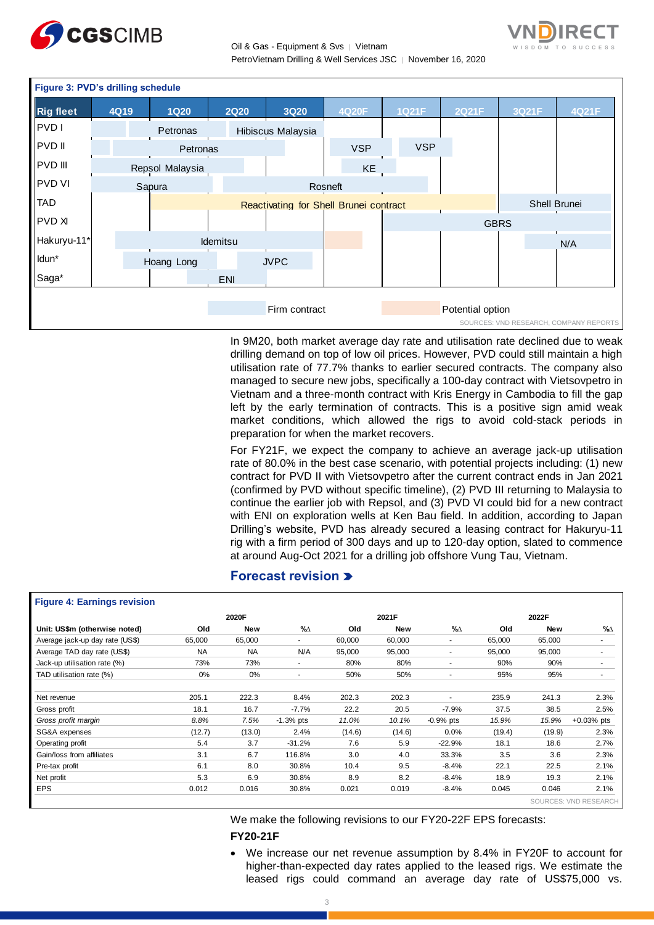



| Figure 3: PVD's drilling schedule |      |  |                 |                 |  |                                        |  |            |  |              |                  |              |                                        |
|-----------------------------------|------|--|-----------------|-----------------|--|----------------------------------------|--|------------|--|--------------|------------------|--------------|----------------------------------------|
| <b>Rig fleet</b>                  | 4Q19 |  | <b>1Q20</b>     | <b>2Q20</b>     |  | <b>3Q20</b>                            |  | 4Q20F      |  | <b>1Q21F</b> | 2Q21F            | 3Q21F        | 4Q21F                                  |
| PVD I                             |      |  | Petronas        |                 |  | Hibiscus Malaysia                      |  |            |  |              |                  |              |                                        |
| PVD II                            |      |  | Petronas        |                 |  |                                        |  | <b>VSP</b> |  | <b>VSP</b>   |                  |              |                                        |
| PVD III                           |      |  | Repsol Malaysia |                 |  |                                        |  | KE         |  |              |                  |              |                                        |
| <b>PVD VI</b>                     |      |  | Sapura          |                 |  | Rosneft                                |  |            |  |              |                  |              |                                        |
| <b>TAD</b>                        |      |  |                 |                 |  | Reactivating for Shell Brunei contract |  |            |  |              |                  | Shell Brunei |                                        |
| <b>PVD XI</b>                     |      |  |                 |                 |  |                                        |  |            |  |              | <b>GBRS</b>      |              |                                        |
| Hakuryu-11*                       |      |  |                 | <b>Idemitsu</b> |  |                                        |  |            |  |              |                  |              | N/A                                    |
| Idun*                             |      |  | Hoang Long      |                 |  | <b>JVPC</b>                            |  |            |  |              |                  |              |                                        |
| Saga*                             |      |  |                 | <b>ENI</b>      |  |                                        |  |            |  |              |                  |              |                                        |
|                                   |      |  |                 |                 |  |                                        |  |            |  |              |                  |              |                                        |
|                                   |      |  |                 |                 |  | Firm contract                          |  |            |  |              | Potential option |              |                                        |
|                                   |      |  |                 |                 |  |                                        |  |            |  |              |                  |              | SOURCES: VND RESEARCH, COMPANY REPORTS |

In 9M20, both market average day rate and utilisation rate declined due to weak drilling demand on top of low oil prices. However, PVD could still maintain a high utilisation rate of 77.7% thanks to earlier secured contracts. The company also managed to secure new jobs, specifically a 100-day contract with Vietsovpetro in Vietnam and a three-month contract with Kris Energy in Cambodia to fill the gap left by the early termination of contracts. This is a positive sign amid weak market conditions, which allowed the rigs to avoid cold-stack periods in preparation for when the market recovers.

For FY21F, we expect the company to achieve an average jack-up utilisation rate of 80.0% in the best case scenario, with potential projects including: (1) new contract for PVD II with Vietsovpetro after the current contract ends in Jan 2021 (confirmed by PVD without specific timeline), (2) PVD III returning to Malaysia to continue the earlier job with Repsol, and (3) PVD VI could bid for a new contract with ENI on exploration wells at Ken Bau field. In addition, according to Japan Drilling's website, PVD has already secured a leasing contract for Hakuryu-11 rig with a firm period of 300 days and up to 120-day option, slated to commence at around Aug-Oct 2021 for a drilling job offshore Vung Tau, Vietnam.

#### **Forecast revision**

#### **Figure 4: Earnings revision**

| -g == = == ======== == = = ======== |           |            |             |        |            |             |        |            |                       |
|-------------------------------------|-----------|------------|-------------|--------|------------|-------------|--------|------------|-----------------------|
|                                     |           | 2020F      |             |        | 2021F      |             |        | 2022F      |                       |
| Unit: US\$m (otherwise noted)       | Old       | <b>New</b> | %∆          | Old    | <b>New</b> | %∆          | Old    | <b>New</b> | %∆                    |
| Average jack-up day rate (US\$)     | 65,000    | 65,000     |             | 60,000 | 60,000     | ٠           | 65,000 | 65,000     | $\sim$                |
| Average TAD day rate (US\$)         | <b>NA</b> | <b>NA</b>  | N/A         | 95,000 | 95,000     | $\sim$      | 95,000 | 95,000     | ۰                     |
| Jack-up utilisation rate (%)        | 73%       | 73%        | ۰.          | 80%    | 80%        | ٠           | 90%    | 90%        |                       |
| TAD utilisation rate (%)            | 0%        | $0\%$      |             | 50%    | 50%        |             | 95%    | 95%        |                       |
|                                     |           |            |             |        |            |             |        |            |                       |
| Net revenue                         | 205.1     | 222.3      | 8.4%        | 202.3  | 202.3      | ٠           | 235.9  | 241.3      | 2.3%                  |
| Gross profit                        | 18.1      | 16.7       | $-7.7%$     | 22.2   | 20.5       | $-7.9%$     | 37.5   | 38.5       | 2.5%                  |
| Gross profit margin                 | 8.8%      | 7.5%       | $-1.3%$ pts | 11.0%  | 10.1%      | $-0.9%$ pts | 15.9%  | 15.9%      | $+0.03%$ pts          |
| SG&A expenses                       | (12.7)    | (13.0)     | 2.4%        | (14.6) | (14.6)     | 0.0%        | (19.4) | (19.9)     | 2.3%                  |
| Operating profit                    | 5.4       | 3.7        | $-31.2%$    | 7.6    | 5.9        | $-22.9%$    | 18.1   | 18.6       | 2.7%                  |
| Gain/loss from affiliates           | 3.1       | 6.7        | 116.8%      | 3.0    | 4.0        | 33.3%       | 3.5    | 3.6        | 2.3%                  |
| Pre-tax profit                      | 6.1       | 8.0        | 30.8%       | 10.4   | 9.5        | $-8.4%$     | 22.1   | 22.5       | 2.1%                  |
| Net profit                          | 5.3       | 6.9        | 30.8%       | 8.9    | 8.2        | $-8.4%$     | 18.9   | 19.3       | 2.1%                  |
| <b>EPS</b>                          | 0.012     | 0.016      | 30.8%       | 0.021  | 0.019      | $-8.4%$     | 0.045  | 0.046      | 2.1%                  |
|                                     |           |            |             |        |            |             |        |            | SOURCES: VND RESEARCH |

We make the following revisions to our FY20-22F EPS forecasts: **FY20-21F**

 We increase our net revenue assumption by 8.4% in FY20F to account for higher-than-expected day rates applied to the leased rigs. We estimate the leased rigs could command an average day rate of US\$75,000 vs.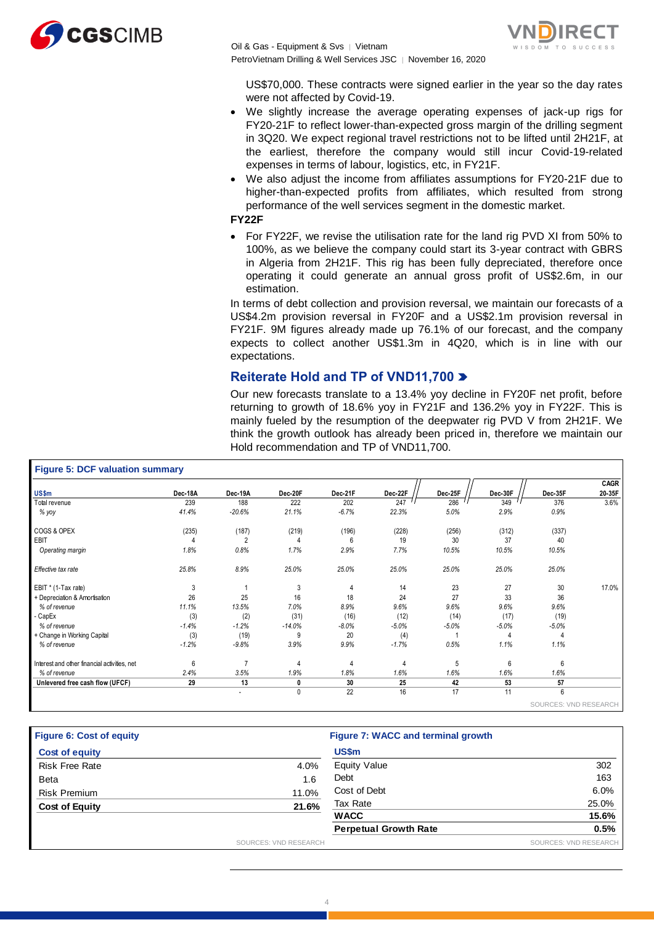



US\$70,000. These contracts were signed earlier in the year so the day rates were not affected by Covid-19.

- We slightly increase the average operating expenses of jack-up rigs for FY20-21F to reflect lower-than-expected gross margin of the drilling segment in 3Q20. We expect regional travel restrictions not to be lifted until 2H21F, at the earliest, therefore the company would still incur Covid-19-related expenses in terms of labour, logistics, etc, in FY21F.
- We also adjust the income from affiliates assumptions for FY20-21F due to higher-than-expected profits from affiliates, which resulted from strong performance of the well services segment in the domestic market.

**FY22F**

• For FY22F, we revise the utilisation rate for the land rig PVD XI from 50% to 100%, as we believe the company could start its 3-year contract with GBRS in Algeria from 2H21F. This rig has been fully depreciated, therefore once operating it could generate an annual gross profit of US\$2.6m, in our estimation.

In terms of debt collection and provision reversal, we maintain our forecasts of a US\$4.2m provision reversal in FY20F and a US\$2.1m provision reversal in FY21F. 9M figures already made up 76.1% of our forecast, and the company expects to collect another US\$1.3m in 4Q20, which is in line with our expectations.

#### **Reiterate Hold and TP of VND11,700**

Our new forecasts translate to a 13.4% yoy decline in FY20F net profit, before returning to growth of 18.6% yoy in FY21F and 136.2% yoy in FY22F. This is mainly fueled by the resumption of the deepwater rig PVD V from 2H21F. We think the growth outlook has already been priced in, therefore we maintain our Hold recommendation and TP of VND11,700.

| <b>Figure 5: DCF valuation summary</b>       |         |                |             |         |         |         |         |                       |             |
|----------------------------------------------|---------|----------------|-------------|---------|---------|---------|---------|-----------------------|-------------|
|                                              |         |                |             |         |         |         |         |                       | <b>CAGR</b> |
| US\$m                                        | Dec-18A | Dec-19A        | Dec-20F     | Dec-21F | Dec-22F | Dec-25F | Dec-30F | Dec-35F               | 20-35F      |
| Total revenue                                | 239     | 188            | 222         | 202     | 247     | 286     | 349     | 376                   | 3.6%        |
| % yoy                                        | 41.4%   | $-20.6%$       | 21.1%       | $-6.7%$ | 22.3%   | 5.0%    | 2.9%    | 0.9%                  |             |
| COGS & OPEX                                  | (235)   | (187)          | (219)       | (196)   | (228)   | (256)   | (312)   | (337)                 |             |
| EBIT                                         | 4       | $\overline{2}$ |             | 6       | 19      | 30      | 37      | 40                    |             |
| Operating margin                             | 1.8%    | 0.8%           | 1.7%        | 2.9%    | 7.7%    | 10.5%   | 10.5%   | 10.5%                 |             |
| Effective tax rate                           | 25.8%   | 8.9%           | 25.0%       | 25.0%   | 25.0%   | 25.0%   | 25.0%   | 25.0%                 |             |
| EBIT * (1-Tax rate)                          | 3       |                | 3           | 4       | 14      | 23      | 27      | 30                    | 17.0%       |
| + Depreciation & Amortisation                | 26      | 25             | 16          | 18      | 24      | 27      | 33      | 36                    |             |
| % of revenue                                 | 11.1%   | 13.5%          | 7.0%        | 8.9%    | 9.6%    | 9.6%    | 9.6%    | 9.6%                  |             |
| - CapEx                                      | (3)     | (2)            | (31)        | (16)    | (12)    | (14)    | (17)    | (19)                  |             |
| % of revenue                                 | $-1.4%$ | $-1.2%$        | $-14.0%$    | $-8.0%$ | $-5.0%$ | $-5.0%$ | $-5.0%$ | $-5.0%$               |             |
| + Change in Working Capital                  | (3)     | (19)           | 9           | 20      | (4)     |         | 4       |                       |             |
| % of revenue                                 | $-1.2%$ | $-9.8%$        | 3.9%        | 9.9%    | $-1.7%$ | 0.5%    | 1.1%    | 1.1%                  |             |
| Interest and other financial activities, net | 6       |                | 4           | 4       | 4       | 5       | 6       | 6                     |             |
| % of revenue                                 | 2.4%    | 3.5%           | 1.9%        | 1.8%    | 1.6%    | 1.6%    | 1.6%    | 1.6%                  |             |
| Unlevered free cash flow (UFCF)              | 29      | 13             | 0           | 30      | 25      | 42      | 53      | 57                    |             |
|                                              |         | $\blacksquare$ | $\mathbf 0$ | 22      | 16      | 17      | 11      | 6                     |             |
|                                              |         |                |             |         |         |         |         | SOURCES: VND RESEARCH |             |

| <b>Figure 6: Cost of equity</b> |       | Figure 7: WACC and terminal growth |       |
|---------------------------------|-------|------------------------------------|-------|
| <b>Cost of equity</b>           |       | <b>US\$m</b>                       |       |
| <b>Risk Free Rate</b>           | 4.0%  | <b>Equity Value</b>                | 302   |
| <b>Beta</b>                     | 1.6   | Debt                               | 163   |
| <b>Risk Premium</b>             | 11.0% | Cost of Debt                       | 6.0%  |
| <b>Cost of Equity</b>           | 21.6% | Tax Rate                           | 25.0% |
|                                 |       | <b>WACC</b>                        | 15.6% |
|                                 |       | <b>Perpetual Growth Rate</b>       | 0.5%  |

4

SOURCES: VND RESEARCH SOURCES: VND RESEARCH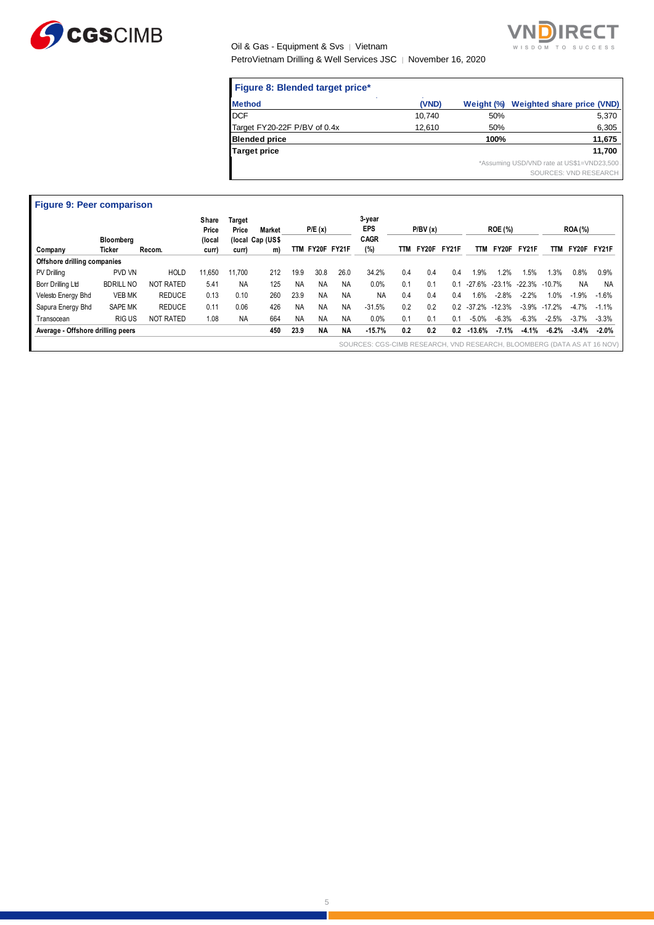

## Oil & Gas - Equipment & Svs | Vietnam



PetroVietnam Drilling & Well Services JSC │ November 16, 2020

| Figure 8: Blended target price* |        |            |                                                                     |
|---------------------------------|--------|------------|---------------------------------------------------------------------|
| <b>Method</b>                   | (VND)  | Weight (%) | Weighted share price (VND)                                          |
| <b>DCF</b>                      | 10,740 | 50%        | 5,370                                                               |
| Target FY20-22F P/BV of 0.4x    | 12,610 | 50%        | 6,305                                                               |
| <b>Blended price</b>            |        | 100%       | 11,675                                                              |
| <b>Target price</b>             |        |            | 11,700                                                              |
|                                 |        |            | *Assuming USD/VND rate at US\$1=VND23,500.<br>SOURCES: VND RESEARCH |

| <b>Figure 9: Peer comparison</b>  |                     |                  |                 |                 |                        |           |                 |           |                                                                         |     |         |              |          |                |         |           |                |           |
|-----------------------------------|---------------------|------------------|-----------------|-----------------|------------------------|-----------|-----------------|-----------|-------------------------------------------------------------------------|-----|---------|--------------|----------|----------------|---------|-----------|----------------|-----------|
|                                   |                     |                  | Share<br>Price  | Target<br>Price | Market                 |           | P/E(x)          |           | 3-year<br>EPS<br><b>CAGR</b>                                            |     | P/BV(x) |              |          | <b>ROE (%)</b> |         |           | <b>ROA</b> (%) |           |
| Company                           | Bloomberg<br>Ticker | Recom.           | (local<br>curr) | curr)           | (local Cap (US\$<br>m) |           | TTM FY20F FY21F |           | (%)                                                                     | TTM | FY20F   | <b>FY21F</b> | TTM      | FY20F          | FY21F   | ттм       | FY20F          | FY21F     |
| Offshore drilling companies       |                     |                  |                 |                 |                        |           |                 |           |                                                                         |     |         |              |          |                |         |           |                |           |
| <b>PV Drilling</b>                | PVD VN              | <b>HOLD</b>      | 11.650          | 11.700          | 212                    | 19.9      | 30.8            | 26.0      | 34.2%                                                                   | 0.4 | 0.4     | 0.4          | 1.9%     | .2%            | 1.5%    | 1.3%      | 0.8%           | 0.9%      |
| Borr Drilling Ltd                 | <b>BDRILL NO</b>    | <b>NOT RATED</b> | 5.41            | <b>NA</b>       | 125                    | <b>NA</b> | <b>NA</b>       | <b>NA</b> | 0.0%                                                                    | 0.1 | 0.1     | 0.1          | $-27.6%$ | -23.1% -22.3%  |         | $-10.7\%$ | <b>NA</b>      | <b>NA</b> |
| Velesto Energy Bhd                | <b>VEB MK</b>       | <b>REDUCE</b>    | 0.13            | 0.10            | 260                    | 23.9      | <b>NA</b>       | <b>NA</b> | <b>NA</b>                                                               | 0.4 | 0.4     | 0.4          | 1.6%     | $-2.8%$        | $-2.2%$ | 1.0%      | $-1.9%$        | $-1.6%$   |
| Sapura Energy Bhd                 | <b>SAPE MK</b>      | <b>REDUCE</b>    | 0.11            | 0.06            | 426                    | <b>NA</b> | <b>NA</b>       | <b>NA</b> | $-31.5%$                                                                | 0.2 | 0.2     | 0.2          | $-37.2%$ | $-12.3%$       | $-3.9%$ | $-17.2%$  | $-4.7%$        | $-1.1%$   |
| Transocean                        | <b>RIGUS</b>        | <b>NOT RATED</b> | 1.08            | <b>NA</b>       | 664                    | <b>NA</b> | <b>NA</b>       | <b>NA</b> | 0.0%                                                                    | 0.1 | 0.1     | 0.1          | $-5.0%$  | $-6.3%$        | $-6.3%$ | $-2.5%$   | $-3.7%$        | $-3.3%$   |
| Average - Offshore drilling peers |                     |                  |                 |                 | 450                    | 23.9      | <b>NA</b>       | <b>NA</b> | $-15.7%$                                                                | 0.2 | 0.2     | 0.2          | $-13.6%$ | $-7.1%$        | $-4.1%$ | $-6.2%$   | $-3.4%$        | $-2.0\%$  |
|                                   |                     |                  |                 |                 |                        |           |                 |           | SOURCES: CGS-CIMB RESEARCH, VND RESEARCH, BLOOMBERG (DATA AS AT 16 NOV) |     |         |              |          |                |         |           |                |           |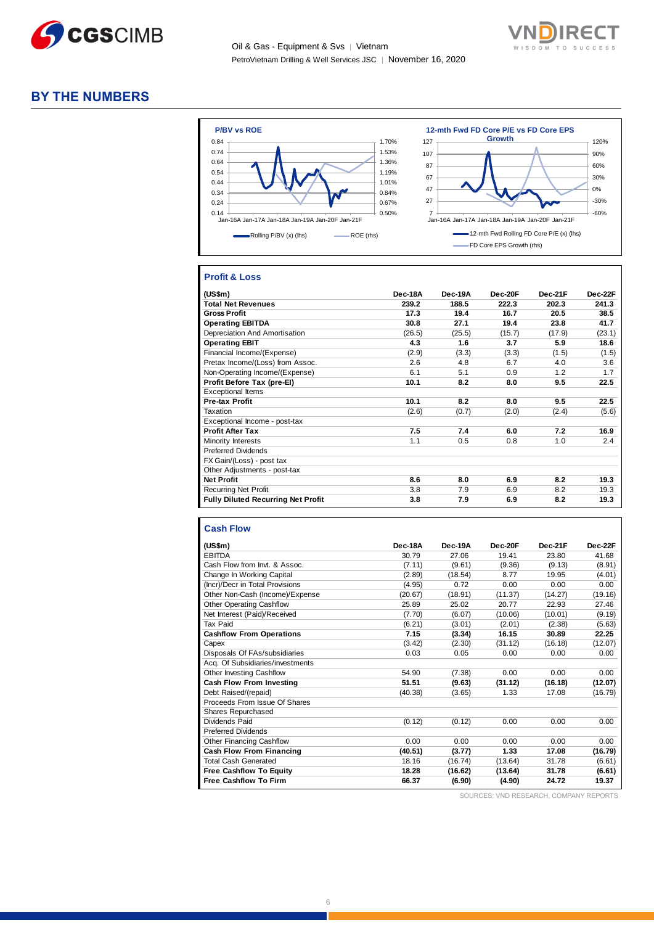



#### **BY THE NUMBERS**



#### **Profit & Loss**

| (US\$m)                                   | Dec-18A | Dec-19A | Dec-20F | Dec-21F | Dec-22F |
|-------------------------------------------|---------|---------|---------|---------|---------|
| <b>Total Net Revenues</b>                 | 239.2   | 188.5   | 222.3   | 202.3   | 241.3   |
| <b>Gross Profit</b>                       | 17.3    | 19.4    | 16.7    | 20.5    | 38.5    |
| <b>Operating EBITDA</b>                   | 30.8    | 27.1    | 19.4    | 23.8    | 41.7    |
| Depreciation And Amortisation             | (26.5)  | (25.5)  | (15.7)  | (17.9)  | (23.1)  |
| <b>Operating EBIT</b>                     | 4.3     | 1.6     | 3.7     | 5.9     | 18.6    |
| Financial Income/(Expense)                | (2.9)   | (3.3)   | (3.3)   | (1.5)   | (1.5)   |
| Pretax Income/(Loss) from Assoc.          | 2.6     | 4.8     | 6.7     | 4.0     | 3.6     |
| Non-Operating Income/(Expense)            | 6.1     | 5.1     | 0.9     | 1.2     | 1.7     |
| Profit Before Tax (pre-El)                | 10.1    | 8.2     | 8.0     | 9.5     | 22.5    |
| <b>Exceptional Items</b>                  |         |         |         |         |         |
| <b>Pre-tax Profit</b>                     | 10.1    | 8.2     | 8.0     | 9.5     | 22.5    |
| Taxation                                  | (2.6)   | (0.7)   | (2.0)   | (2.4)   | (5.6)   |
| Exceptional Income - post-tax             |         |         |         |         |         |
| <b>Profit After Tax</b>                   | 7.5     | 7.4     | 6.0     | 7.2     | 16.9    |
| Minority Interests                        | 1.1     | 0.5     | 0.8     | 1.0     | 2.4     |
| <b>Preferred Dividends</b>                |         |         |         |         |         |
| FX Gain/(Loss) - post tax                 |         |         |         |         |         |
| Other Adjustments - post-tax              |         |         |         |         |         |
| <b>Net Profit</b>                         | 8.6     | 8.0     | 6.9     | 8.2     | 19.3    |
| <b>Recurring Net Profit</b>               | 3.8     | 7.9     | 6.9     | 8.2     | 19.3    |
| <b>Fully Diluted Recurring Net Profit</b> | 3.8     | 7.9     | 6.9     | 8.2     | 19.3    |

#### **Cash Flow**

| (US\$m)                          | Dec-18A | Dec-19A | Dec-20F | Dec-21F | Dec-22F |
|----------------------------------|---------|---------|---------|---------|---------|
| <b>EBITDA</b>                    | 30.79   | 27.06   | 19.41   | 23.80   | 41.68   |
| Cash Flow from Invt. & Assoc.    | (7.11)  | (9.61)  | (9.36)  | (9.13)  | (8.91)  |
| Change In Working Capital        | (2.89)  | (18.54) | 8.77    | 19.95   | (4.01)  |
| (Incr)/Decr in Total Provisions  | (4.95)  | 0.72    | 0.00    | 0.00    | 0.00    |
| Other Non-Cash (Income)/Expense  | (20.67) | (18.91) | (11.37) | (14.27) | (19.16) |
| <b>Other Operating Cashflow</b>  | 25.89   | 25.02   | 20.77   | 22.93   | 27.46   |
| Net Interest (Paid)/Received     | (7.70)  | (6.07)  | (10.06) | (10.01) | (9.19)  |
| Tax Paid                         | (6.21)  | (3.01)  | (2.01)  | (2.38)  | (5.63)  |
| <b>Cashflow From Operations</b>  | 7.15    | (3.34)  | 16.15   | 30.89   | 22.25   |
| Capex                            | (3.42)  | (2.30)  | (31.12) | (16.18) | (12.07) |
| Disposals Of FAs/subsidiaries    | 0.03    | 0.05    | 0.00    | 0.00    | 0.00    |
| Acq. Of Subsidiaries/investments |         |         |         |         |         |
| <b>Other Investing Cashflow</b>  | 54.90   | (7.38)  | 0.00    | 0.00    | 0.00    |
| Cash Flow From Investing         | 51.51   | (9.63)  | (31.12) | (16.18) | (12.07) |
| Debt Raised/(repaid)             | (40.38) | (3.65)  | 1.33    | 17.08   | (16.79) |
| Proceeds From Issue Of Shares    |         |         |         |         |         |
| <b>Shares Repurchased</b>        |         |         |         |         |         |
| Dividends Paid                   | (0.12)  | (0.12)  | 0.00    | 0.00    | 0.00    |
| <b>Preferred Dividends</b>       |         |         |         |         |         |
| Other Financing Cashflow         | 0.00    | 0.00    | 0.00    | 0.00    | 0.00    |
| Cash Flow From Financing         | (40.51) | (3.77)  | 1.33    | 17.08   | (16.79) |
| <b>Total Cash Generated</b>      | 18.16   | (16.74) | (13.64) | 31.78   | (6.61)  |
| <b>Free Cashflow To Equity</b>   | 18.28   | (16.62) | (13.64) | 31.78   | (6.61)  |
| <b>Free Cashflow To Firm</b>     | 66.37   | (6.90)  | (4.90)  | 24.72   | 19.37   |

SOURCES: VND RESEARCH, COMPANY REPORTS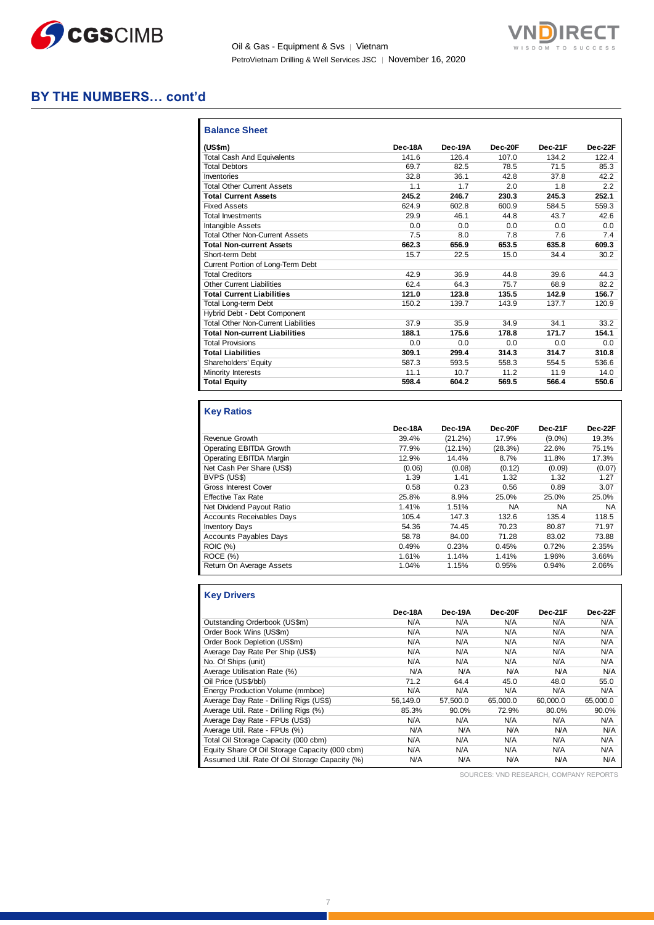



#### **BY THE NUMBERS… cont'd**

| <b>Balance Sheet</b>                       |         |         |         |         |         |
|--------------------------------------------|---------|---------|---------|---------|---------|
| (US\$m)                                    | Dec-18A | Dec-19A | Dec-20F | Dec-21F | Dec-22F |
| <b>Total Cash And Equivalents</b>          | 141.6   | 126.4   | 107.0   | 134.2   | 122.4   |
| <b>Total Debtors</b>                       | 69.7    | 82.5    | 78.5    | 71.5    | 85.3    |
| Inventories                                | 32.8    | 36.1    | 42.8    | 37.8    | 42.2    |
| <b>Total Other Current Assets</b>          | 1.1     | 1.7     | 2.0     | 1.8     | 2.2     |
| <b>Total Current Assets</b>                | 245.2   | 246.7   | 230.3   | 245.3   | 252.1   |
| <b>Fixed Assets</b>                        | 624.9   | 602.8   | 600.9   | 584.5   | 559.3   |
| <b>Total Investments</b>                   | 29.9    | 46.1    | 44.8    | 43.7    | 42.6    |
| Intangible Assets                          | 0.0     | 0.0     | 0.0     | 0.0     | 0.0     |
| <b>Total Other Non-Current Assets</b>      | 7.5     | 8.0     | 7.8     | 7.6     | 7.4     |
| <b>Total Non-current Assets</b>            | 662.3   | 656.9   | 653.5   | 635.8   | 609.3   |
| Short-term Debt                            | 15.7    | 22.5    | 15.0    | 34.4    | 30.2    |
| Current Portion of Long-Term Debt          |         |         |         |         |         |
| <b>Total Creditors</b>                     | 42.9    | 36.9    | 44.8    | 39.6    | 44.3    |
| <b>Other Current Liabilities</b>           | 62.4    | 64.3    | 75.7    | 68.9    | 82.2    |
| <b>Total Current Liabilities</b>           | 121.0   | 123.8   | 135.5   | 142.9   | 156.7   |
| Total Long-term Debt                       | 150.2   | 139.7   | 143.9   | 137.7   | 120.9   |
| Hybrid Debt - Debt Component               |         |         |         |         |         |
| <b>Total Other Non-Current Liabilities</b> | 37.9    | 35.9    | 34.9    | 34.1    | 33.2    |
| <b>Total Non-current Liabilities</b>       | 188.1   | 175.6   | 178.8   | 171.7   | 154.1   |
| <b>Total Provisions</b>                    | 0.0     | 0.0     | 0.0     | 0.0     | 0.0     |
| <b>Total Liabilities</b>                   | 309.1   | 299.4   | 314.3   | 314.7   | 310.8   |
| Shareholders' Equity                       | 587.3   | 593.5   | 558.3   | 554.5   | 536.6   |
| Minority Interests                         | 11.1    | 10.7    | 11.2    | 11.9    | 14.0    |
| <b>Total Equity</b>                        | 598.4   | 604.2   | 569.5   | 566.4   | 550.6   |

#### **Key Ratios**

Ш

|                                  | Dec-18A | Dec-19A    | Dec-20F   | Dec-21F   | Dec-22F |
|----------------------------------|---------|------------|-----------|-----------|---------|
| Revenue Growth                   | 39.4%   | $(21.2\%)$ | 17.9%     | $(9.0\%)$ | 19.3%   |
| Operating EBITDA Growth          | 77.9%   | $(12.1\%)$ | (28.3%)   | 22.6%     | 75.1%   |
| Operating EBITDA Margin          | 12.9%   | 14.4%      | 8.7%      | 11.8%     | 17.3%   |
| Net Cash Per Share (US\$)        | (0.06)  | (0.08)     | (0.12)    | (0.09)    | (0.07)  |
| BVPS (US\$)                      | 1.39    | 1.41       | 1.32      | 1.32      | 1.27    |
| <b>Gross Interest Cover</b>      | 0.58    | 0.23       | 0.56      | 0.89      | 3.07    |
| <b>Effective Tax Rate</b>        | 25.8%   | 8.9%       | 25.0%     | 25.0%     | 25.0%   |
| Net Dividend Payout Ratio        | 1.41%   | 1.51%      | <b>NA</b> | <b>NA</b> | NA      |
| <b>Accounts Receivables Days</b> | 105.4   | 147.3      | 132.6     | 135.4     | 118.5   |
| <b>Inventory Days</b>            | 54.36   | 74.45      | 70.23     | 80.87     | 71.97   |
| <b>Accounts Payables Days</b>    | 58.78   | 84.00      | 71.28     | 83.02     | 73.88   |
| <b>ROIC (%)</b>                  | 0.49%   | 0.23%      | 0.45%     | 0.72%     | 2.35%   |
| ROCE(%)                          | 1.61%   | 1.14%      | 1.41%     | 1.96%     | 3.66%   |
| Return On Average Assets         | 1.04%   | 1.15%      | 0.95%     | 0.94%     | 2.06%   |

| <b>Key Drivers</b>                             |          |          |          |          |          |
|------------------------------------------------|----------|----------|----------|----------|----------|
|                                                | Dec-18A  | Dec-19A  | Dec-20F  | Dec-21F  | Dec-22F  |
| Outstanding Orderbook (US\$m)                  | N/A      | N/A      | N/A      | N/A      | N/A      |
| Order Book Wins (US\$m)                        | N/A      | N/A      | N/A      | N/A      | N/A      |
| Order Book Depletion (US\$m)                   | N/A      | N/A      | N/A      | N/A      | N/A      |
| Average Day Rate Per Ship (US\$)               | N/A      | N/A      | N/A      | N/A      | N/A      |
| No. Of Ships (unit)                            | N/A      | N/A      | N/A      | N/A      | N/A      |
| Average Utilisation Rate (%)                   | N/A      | N/A      | N/A      | N/A      | N/A      |
| Oil Price (US\$/bbl)                           | 71.2     | 64.4     | 45.0     | 48.0     | 55.0     |
| Energy Production Volume (mmboe)               | N/A      | N/A      | N/A      | N/A      | N/A      |
| Average Day Rate - Drilling Rigs (US\$)        | 56.149.0 | 57.500.0 | 65,000.0 | 60.000.0 | 65,000.0 |
| Average Util. Rate - Drilling Rigs (%)         | 85.3%    | 90.0%    | 72.9%    | 80.0%    | 90.0%    |
| Average Day Rate - FPUs (US\$)                 | N/A      | N/A      | N/A      | N/A      | N/A      |
| Average Util. Rate - FPUs (%)                  | N/A      | N/A      | N/A      | N/A      | N/A      |
| Total Oil Storage Capacity (000 cbm)           | N/A      | N/A      | N/A      | N/A      | N/A      |
| Equity Share Of Oil Storage Capacity (000 cbm) | N/A      | N/A      | N/A      | N/A      | N/A      |
| Assumed Util. Rate Of Oil Storage Capacity (%) | N/A      | N/A      | N/A      | N/A      | N/A      |

SOURCES: VND RESEARCH, COMPANY REPORTS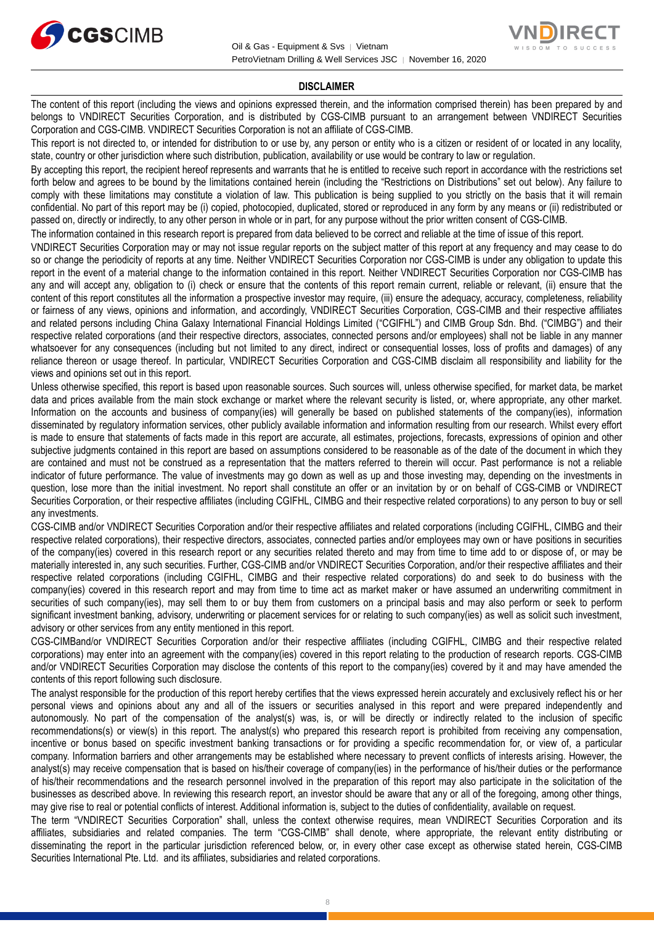



#### **DISCLAIMER**

The content of this report (including the views and opinions expressed therein, and the information comprised therein) has been prepared by and belongs to VNDIRECT Securities Corporation, and is distributed by CGS-CIMB pursuant to an arrangement between VNDIRECT Securities Corporation and CGS-CIMB. VNDIRECT Securities Corporation is not an affiliate of CGS-CIMB.

This report is not directed to, or intended for distribution to or use by, any person or entity who is a citizen or resident of or located in any locality, state, country or other jurisdiction where such distribution, publication, availability or use would be contrary to law or regulation.

By accepting this report, the recipient hereof represents and warrants that he is entitled to receive such report in accordance with the restrictions set forth below and agrees to be bound by the limitations contained herein (including the "Restrictions on Distributions" set out below). Any failure to comply with these limitations may constitute a violation of law. This publication is being supplied to you strictly on the basis that it will remain confidential. No part of this report may be (i) copied, photocopied, duplicated, stored or reproduced in any form by any means or (ii) redistributed or passed on, directly or indirectly, to any other person in whole or in part, for any purpose without the prior written consent of CGS-CIMB.

The information contained in this research report is prepared from data believed to be correct and reliable at the time of issue of this report.

VNDIRECT Securities Corporation may or may not issue regular reports on the subject matter of this report at any frequency and may cease to do so or change the periodicity of reports at any time. Neither VNDIRECT Securities Corporation nor CGS-CIMB is under any obligation to update this report in the event of a material change to the information contained in this report. Neither VNDIRECT Securities Corporation nor CGS-CIMB has any and will accept any, obligation to (i) check or ensure that the contents of this report remain current, reliable or relevant, (ii) ensure that the content of this report constitutes all the information a prospective investor may require, (iii) ensure the adequacy, accuracy, completeness, reliability or fairness of any views, opinions and information, and accordingly, VNDIRECT Securities Corporation, CGS-CIMB and their respective affiliates and related persons including China Galaxy International Financial Holdings Limited ("CGIFHL") and CIMB Group Sdn. Bhd. ("CIMBG") and their respective related corporations (and their respective directors, associates, connected persons and/or employees) shall not be liable in any manner whatsoever for any consequences (including but not limited to any direct, indirect or consequential losses, loss of profits and damages) of any reliance thereon or usage thereof. In particular, VNDIRECT Securities Corporation and CGS-CIMB disclaim all responsibility and liability for the views and opinions set out in this report.

Unless otherwise specified, this report is based upon reasonable sources. Such sources will, unless otherwise specified, for market data, be market data and prices available from the main stock exchange or market where the relevant security is listed, or, where appropriate, any other market. Information on the accounts and business of company(ies) will generally be based on published statements of the company(ies), information disseminated by regulatory information services, other publicly available information and information resulting from our research. Whilst every effort is made to ensure that statements of facts made in this report are accurate, all estimates, projections, forecasts, expressions of opinion and other subjective judgments contained in this report are based on assumptions considered to be reasonable as of the date of the document in which they are contained and must not be construed as a representation that the matters referred to therein will occur. Past performance is not a reliable indicator of future performance. The value of investments may go down as well as up and those investing may, depending on the investments in question, lose more than the initial investment. No report shall constitute an offer or an invitation by or on behalf of CGS-CIMB or VNDIRECT Securities Corporation, or their respective affiliates (including CGIFHL, CIMBG and their respective related corporations) to any person to buy or sell any investments.

CGS-CIMB and/or VNDIRECT Securities Corporation and/or their respective affiliates and related corporations (including CGIFHL, CIMBG and their respective related corporations), their respective directors, associates, connected parties and/or employees may own or have positions in securities of the company(ies) covered in this research report or any securities related thereto and may from time to time add to or dispose of, or may be materially interested in, any such securities. Further, CGS-CIMB and/or VNDIRECT Securities Corporation, and/or their respective affiliates and their respective related corporations (including CGIFHL, CIMBG and their respective related corporations) do and seek to do business with the company(ies) covered in this research report and may from time to time act as market maker or have assumed an underwriting commitment in securities of such company(ies), may sell them to or buy them from customers on a principal basis and may also perform or seek to perform significant investment banking, advisory, underwriting or placement services for or relating to such company(ies) as well as solicit such investment, advisory or other services from any entity mentioned in this report.

CGS-CIMBand/or VNDIRECT Securities Corporation and/or their respective affiliates (including CGIFHL, CIMBG and their respective related corporations) may enter into an agreement with the company(ies) covered in this report relating to the production of research reports. CGS-CIMB and/or VNDIRECT Securities Corporation may disclose the contents of this report to the company(ies) covered by it and may have amended the contents of this report following such disclosure.

The analyst responsible for the production of this report hereby certifies that the views expressed herein accurately and exclusively reflect his or her personal views and opinions about any and all of the issuers or securities analysed in this report and were prepared independently and autonomously. No part of the compensation of the analyst(s) was, is, or will be directly or indirectly related to the inclusion of specific recommendations(s) or view(s) in this report. The analyst(s) who prepared this research report is prohibited from receiving any compensation, incentive or bonus based on specific investment banking transactions or for providing a specific recommendation for, or view of, a particular company. Information barriers and other arrangements may be established where necessary to prevent conflicts of interests arising. However, the analyst(s) may receive compensation that is based on his/their coverage of company(ies) in the performance of his/their duties or the performance of his/their recommendations and the research personnel involved in the preparation of this report may also participate in the solicitation of the businesses as described above. In reviewing this research report, an investor should be aware that any or all of the foregoing, among other things, may give rise to real or potential conflicts of interest. Additional information is, subject to the duties of confidentiality, available on request.

The term "VNDIRECT Securities Corporation" shall, unless the context otherwise requires, mean VNDIRECT Securities Corporation and its affiliates, subsidiaries and related companies. The term "CGS-CIMB" shall denote, where appropriate, the relevant entity distributing or disseminating the report in the particular jurisdiction referenced below, or, in every other case except as otherwise stated herein, CGS-CIMB Securities International Pte. Ltd. and its affiliates, subsidiaries and related corporations.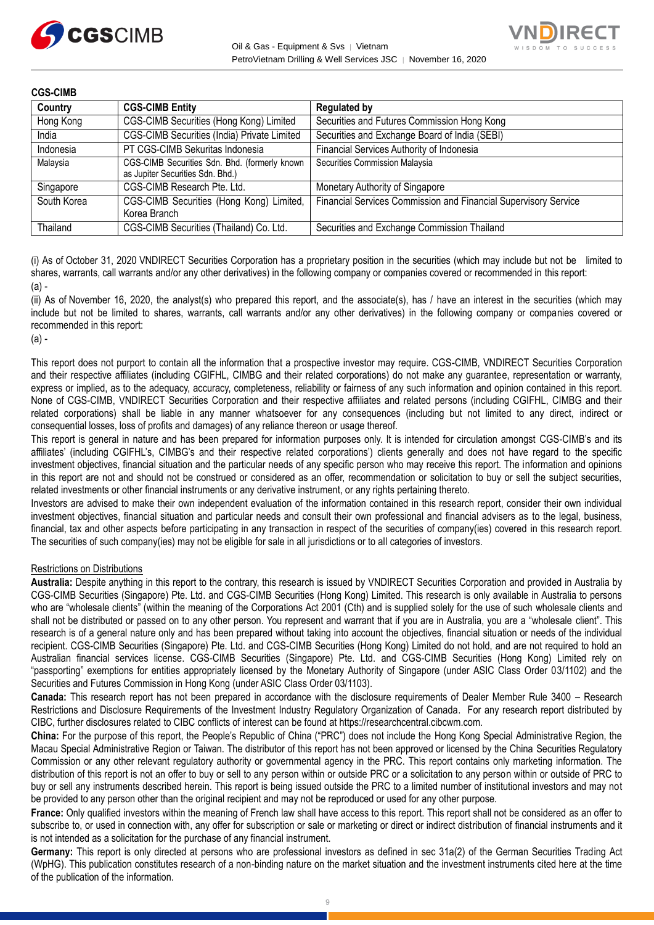



| <b>CGS-CIMB</b> |                                                                                   |                                                                 |
|-----------------|-----------------------------------------------------------------------------------|-----------------------------------------------------------------|
| Country         | <b>CGS-CIMB Entity</b>                                                            | <b>Regulated by</b>                                             |
| Hong Kong       | CGS-CIMB Securities (Hong Kong) Limited                                           | Securities and Futures Commission Hong Kong                     |
| India           | <b>CGS-CIMB Securities (India) Private Limited</b>                                | Securities and Exchange Board of India (SEBI)                   |
| Indonesia       | PT CGS-CIMB Sekuritas Indonesia                                                   | Financial Services Authority of Indonesia                       |
| Malaysia        | CGS-CIMB Securities Sdn. Bhd. (formerly known<br>as Jupiter Securities Sdn. Bhd.) | Securities Commission Malaysia                                  |
| Singapore       | CGS-CIMB Research Pte. Ltd.                                                       | Monetary Authority of Singapore                                 |
| South Korea     | CGS-CIMB Securities (Hong Kong) Limited,<br>Korea Branch                          | Financial Services Commission and Financial Supervisory Service |
| Thailand        | CGS-CIMB Securities (Thailand) Co. Ltd.                                           | Securities and Exchange Commission Thailand                     |

(i) As of October 31, 2020 VNDIRECT Securities Corporation has a proprietary position in the securities (which may include but not be limited to shares, warrants, call warrants and/or any other derivatives) in the following company or companies covered or recommended in this report:  $(a)$  -

(ii) As of November 16, 2020, the analyst(s) who prepared this report, and the associate(s), has / have an interest in the securities (which may include but not be limited to shares, warrants, call warrants and/or any other derivatives) in the following company or companies covered or recommended in this report:

#### (a) -

This report does not purport to contain all the information that a prospective investor may require. CGS-CIMB, VNDIRECT Securities Corporation and their respective affiliates (including CGIFHL, CIMBG and their related corporations) do not make any guarantee, representation or warranty, express or implied, as to the adequacy, accuracy, completeness, reliability or fairness of any such information and opinion contained in this report. None of CGS-CIMB, VNDIRECT Securities Corporation and their respective affiliates and related persons (including CGIFHL, CIMBG and their related corporations) shall be liable in any manner whatsoever for any consequences (including but not limited to any direct, indirect or consequential losses, loss of profits and damages) of any reliance thereon or usage thereof.

This report is general in nature and has been prepared for information purposes only. It is intended for circulation amongst CGS-CIMB's and its affiliates' (including CGIFHL's, CIMBG's and their respective related corporations') clients generally and does not have regard to the specific investment objectives, financial situation and the particular needs of any specific person who may receive this report. The information and opinions in this report are not and should not be construed or considered as an offer, recommendation or solicitation to buy or sell the subject securities, related investments or other financial instruments or any derivative instrument, or any rights pertaining thereto.

Investors are advised to make their own independent evaluation of the information contained in this research report, consider their own individual investment objectives, financial situation and particular needs and consult their own professional and financial advisers as to the legal, business, financial, tax and other aspects before participating in any transaction in respect of the securities of company(ies) covered in this research report. The securities of such company(ies) may not be eligible for sale in all jurisdictions or to all categories of investors.

#### Restrictions on Distributions

**Australia:** Despite anything in this report to the contrary, this research is issued by VNDIRECT Securities Corporation and provided in Australia by CGS-CIMB Securities (Singapore) Pte. Ltd. and CGS-CIMB Securities (Hong Kong) Limited. This research is only available in Australia to persons who are "wholesale clients" (within the meaning of the Corporations Act 2001 (Cth) and is supplied solely for the use of such wholesale clients and shall not be distributed or passed on to any other person. You represent and warrant that if you are in Australia, you are a "wholesale client". This research is of a general nature only and has been prepared without taking into account the objectives, financial situation or needs of the individual recipient. CGS-CIMB Securities (Singapore) Pte. Ltd. and CGS-CIMB Securities (Hong Kong) Limited do not hold, and are not required to hold an Australian financial services license. CGS-CIMB Securities (Singapore) Pte. Ltd. and CGS-CIMB Securities (Hong Kong) Limited rely on "passporting" exemptions for entities appropriately licensed by the Monetary Authority of Singapore (under ASIC Class Order 03/1102) and the Securities and Futures Commission in Hong Kong (under ASIC Class Order 03/1103).

**Canada:** This research report has not been prepared in accordance with the disclosure requirements of Dealer Member Rule 3400 – Research Restrictions and Disclosure Requirements of the Investment Industry Regulatory Organization of Canada. For any research report distributed by CIBC, further disclosures related to CIBC conflicts of interest can be found at https://researchcentral.cibcwm.com.

**China:** For the purpose of this report, the People's Republic of China ("PRC") does not include the Hong Kong Special Administrative Region, the Macau Special Administrative Region or Taiwan. The distributor of this report has not been approved or licensed by the China Securities Regulatory Commission or any other relevant regulatory authority or governmental agency in the PRC. This report contains only marketing information. The distribution of this report is not an offer to buy or sell to any person within or outside PRC or a solicitation to any person within or outside of PRC to buy or sell any instruments described herein. This report is being issued outside the PRC to a limited number of institutional investors and may not be provided to any person other than the original recipient and may not be reproduced or used for any other purpose.

**France:** Only qualified investors within the meaning of French law shall have access to this report. This report shall not be considered as an offer to subscribe to, or used in connection with, any offer for subscription or sale or marketing or direct or indirect distribution of financial instruments and it is not intended as a solicitation for the purchase of any financial instrument.

**Germany:** This report is only directed at persons who are professional investors as defined in sec 31a(2) of the German Securities Trading Act (WpHG). This publication constitutes research of a non-binding nature on the market situation and the investment instruments cited here at the time of the publication of the information.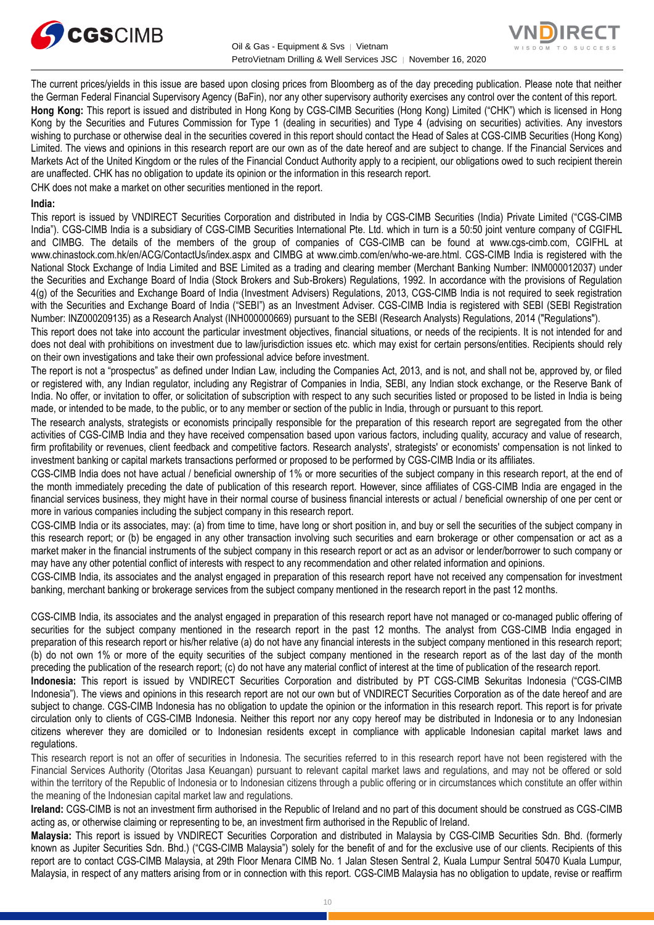



The current prices/yields in this issue are based upon closing prices from Bloomberg as of the day preceding publication. Please note that neither the German Federal Financial Supervisory Agency (BaFin), nor any other supervisory authority exercises any control over the content of this report. **Hong Kong:** This report is issued and distributed in Hong Kong by CGS-CIMB Securities (Hong Kong) Limited ("CHK") which is licensed in Hong Kong by the Securities and Futures Commission for Type 1 (dealing in securities) and Type 4 (advising on securities) activities. Any investors wishing to purchase or otherwise deal in the securities covered in this report should contact the Head of Sales at CGS-CIMB Securities (Hong Kong) Limited. The views and opinions in this research report are our own as of the date hereof and are subject to change. If the Financial Services and Markets Act of the United Kingdom or the rules of the Financial Conduct Authority apply to a recipient, our obligations owed to such recipient therein are unaffected. CHK has no obligation to update its opinion or the information in this research report.

CHK does not make a market on other securities mentioned in the report.

#### **India:**

This report is issued by VNDIRECT Securities Corporation and distributed in India by CGS-CIMB Securities (India) Private Limited ("CGS-CIMB India"). CGS-CIMB India is a subsidiary of CGS-CIMB Securities International Pte. Ltd. which in turn is a 50:50 joint venture company of CGIFHL and CIMBG. The details of the members of the group of companies of CGS-CIMB can be found at www.cgs-cimb.com, CGIFHL at www.chinastock.com.hk/en/ACG/ContactUs/index.aspx and CIMBG at www.cimb.com/en/who-we-are.html. CGS-CIMB India is registered with the National Stock Exchange of India Limited and BSE Limited as a trading and clearing member (Merchant Banking Number: INM000012037) under the Securities and Exchange Board of India (Stock Brokers and Sub-Brokers) Regulations, 1992. In accordance with the provisions of Regulation 4(g) of the Securities and Exchange Board of India (Investment Advisers) Regulations, 2013, CGS-CIMB India is not required to seek registration with the Securities and Exchange Board of India ("SEBI") as an Investment Adviser. CGS-CIMB India is registered with SEBI (SEBI Registration Number: INZ000209135) as a Research Analyst (INH000000669) pursuant to the SEBI (Research Analysts) Regulations, 2014 ("Regulations").

This report does not take into account the particular investment objectives, financial situations, or needs of the recipients. It is not intended for and does not deal with prohibitions on investment due to law/jurisdiction issues etc. which may exist for certain persons/entities. Recipients should rely on their own investigations and take their own professional advice before investment.

The report is not a "prospectus" as defined under Indian Law, including the Companies Act, 2013, and is not, and shall not be, approved by, or filed or registered with, any Indian regulator, including any Registrar of Companies in India, SEBI, any Indian stock exchange, or the Reserve Bank of India. No offer, or invitation to offer, or solicitation of subscription with respect to any such securities listed or proposed to be listed in India is being made, or intended to be made, to the public, or to any member or section of the public in India, through or pursuant to this report.

The research analysts, strategists or economists principally responsible for the preparation of this research report are segregated from the other activities of CGS-CIMB India and they have received compensation based upon various factors, including quality, accuracy and value of research, firm profitability or revenues, client feedback and competitive factors. Research analysts', strategists' or economists' compensation is not linked to investment banking or capital markets transactions performed or proposed to be performed by CGS-CIMB India or its affiliates.

CGS-CIMB India does not have actual / beneficial ownership of 1% or more securities of the subject company in this research report, at the end of the month immediately preceding the date of publication of this research report. However, since affiliates of CGS-CIMB India are engaged in the financial services business, they might have in their normal course of business financial interests or actual / beneficial ownership of one per cent or more in various companies including the subject company in this research report.

CGS-CIMB India or its associates, may: (a) from time to time, have long or short position in, and buy or sell the securities of the subject company in this research report; or (b) be engaged in any other transaction involving such securities and earn brokerage or other compensation or act as a market maker in the financial instruments of the subject company in this research report or act as an advisor or lender/borrower to such company or may have any other potential conflict of interests with respect to any recommendation and other related information and opinions.

CGS-CIMB India, its associates and the analyst engaged in preparation of this research report have not received any compensation for investment banking, merchant banking or brokerage services from the subject company mentioned in the research report in the past 12 months.

CGS-CIMB India, its associates and the analyst engaged in preparation of this research report have not managed or co-managed public offering of securities for the subject company mentioned in the research report in the past 12 months. The analyst from CGS-CIMB India engaged in preparation of this research report or his/her relative (a) do not have any financial interests in the subject company mentioned in this research report; (b) do not own 1% or more of the equity securities of the subject company mentioned in the research report as of the last day of the month preceding the publication of the research report; (c) do not have any material conflict of interest at the time of publication of the research report.

**Indonesia:** This report is issued by VNDIRECT Securities Corporation and distributed by PT CGS-CIMB Sekuritas Indonesia ("CGS-CIMB Indonesia"). The views and opinions in this research report are not our own but of VNDIRECT Securities Corporation as of the date hereof and are subject to change. CGS-CIMB Indonesia has no obligation to update the opinion or the information in this research report. This report is for private circulation only to clients of CGS-CIMB Indonesia. Neither this report nor any copy hereof may be distributed in Indonesia or to any Indonesian citizens wherever they are domiciled or to Indonesian residents except in compliance with applicable Indonesian capital market laws and regulations.

This research report is not an offer of securities in Indonesia. The securities referred to in this research report have not been registered with the Financial Services Authority (Otoritas Jasa Keuangan) pursuant to relevant capital market laws and regulations, and may not be offered or sold within the territory of the Republic of Indonesia or to Indonesian citizens through a public offering or in circumstances which constitute an offer within the meaning of the Indonesian capital market law and regulations.

**Ireland:** CGS-CIMB is not an investment firm authorised in the Republic of Ireland and no part of this document should be construed as CGS-CIMB acting as, or otherwise claiming or representing to be, an investment firm authorised in the Republic of Ireland.

**Malaysia:** This report is issued by VNDIRECT Securities Corporation and distributed in Malaysia by CGS-CIMB Securities Sdn. Bhd. (formerly known as Jupiter Securities Sdn. Bhd.) ("CGS-CIMB Malaysia") solely for the benefit of and for the exclusive use of our clients. Recipients of this report are to contact CGS-CIMB Malaysia, at 29th Floor Menara CIMB No. 1 Jalan Stesen Sentral 2, Kuala Lumpur Sentral 50470 Kuala Lumpur, Malaysia, in respect of any matters arising from or in connection with this report. CGS-CIMB Malaysia has no obligation to update, revise or reaffirm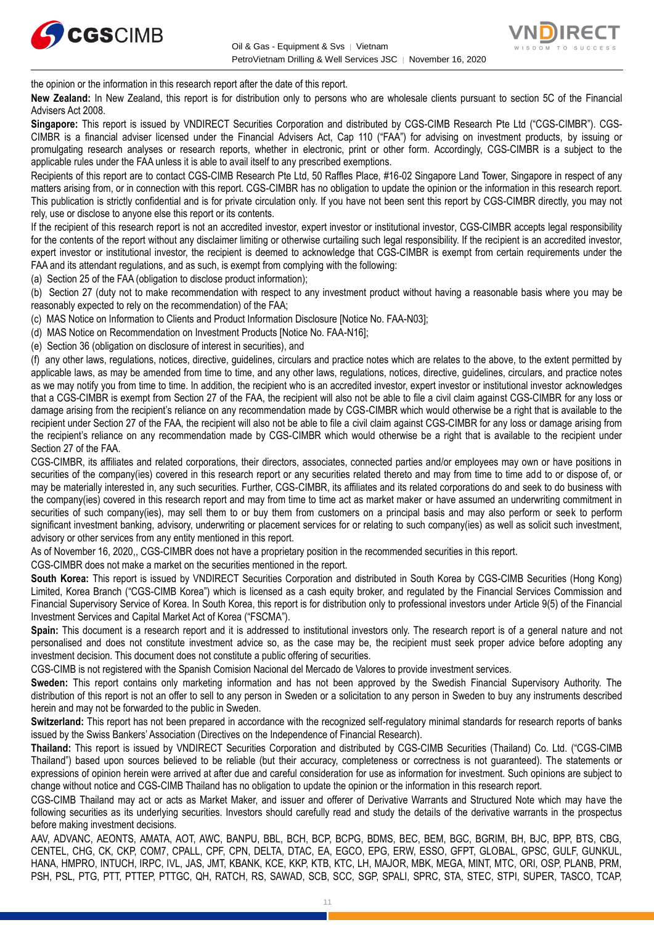



the opinion or the information in this research report after the date of this report.

**New Zealand:** In New Zealand, this report is for distribution only to persons who are wholesale clients pursuant to section 5C of the Financial Advisers Act 2008.

**Singapore:** This report is issued by VNDIRECT Securities Corporation and distributed by CGS-CIMB Research Pte Ltd ("CGS-CIMBR"). CGS-CIMBR is a financial adviser licensed under the Financial Advisers Act, Cap 110 ("FAA") for advising on investment products, by issuing or promulgating research analyses or research reports, whether in electronic, print or other form. Accordingly, CGS-CIMBR is a subject to the applicable rules under the FAA unless it is able to avail itself to any prescribed exemptions.

Recipients of this report are to contact CGS-CIMB Research Pte Ltd, 50 Raffles Place, #16-02 Singapore Land Tower, Singapore in respect of any matters arising from, or in connection with this report. CGS-CIMBR has no obligation to update the opinion or the information in this research report. This publication is strictly confidential and is for private circulation only. If you have not been sent this report by CGS-CIMBR directly, you may not rely, use or disclose to anyone else this report or its contents.

If the recipient of this research report is not an accredited investor, expert investor or institutional investor, CGS-CIMBR accepts legal responsibility for the contents of the report without any disclaimer limiting or otherwise curtailing such legal responsibility. If the recipient is an accredited investor, expert investor or institutional investor, the recipient is deemed to acknowledge that CGS-CIMBR is exempt from certain requirements under the FAA and its attendant regulations, and as such, is exempt from complying with the following:

(a) Section 25 of the FAA (obligation to disclose product information);

(b) Section 27 (duty not to make recommendation with respect to any investment product without having a reasonable basis where you may be reasonably expected to rely on the recommendation) of the FAA;

(c) MAS Notice on Information to Clients and Product Information Disclosure [Notice No. FAA-N03];

(d) MAS Notice on Recommendation on Investment Products [Notice No. FAA-N16];

(e) Section 36 (obligation on disclosure of interest in securities), and

(f) any other laws, regulations, notices, directive, guidelines, circulars and practice notes which are relates to the above, to the extent permitted by applicable laws, as may be amended from time to time, and any other laws, regulations, notices, directive, guidelines, circulars, and practice notes as we may notify you from time to time. In addition, the recipient who is an accredited investor, expert investor or institutional investor acknowledges that a CGS-CIMBR is exempt from Section 27 of the FAA, the recipient will also not be able to file a civil claim against CGS-CIMBR for any loss or damage arising from the recipient's reliance on any recommendation made by CGS-CIMBR which would otherwise be a right that is available to the recipient under Section 27 of the FAA, the recipient will also not be able to file a civil claim against CGS-CIMBR for any loss or damage arising from the recipient's reliance on any recommendation made by CGS-CIMBR which would otherwise be a right that is available to the recipient under Section 27 of the FAA.

CGS-CIMBR, its affiliates and related corporations, their directors, associates, connected parties and/or employees may own or have positions in securities of the company(ies) covered in this research report or any securities related thereto and may from time to time add to or dispose of, or may be materially interested in, any such securities. Further, CGS-CIMBR, its affiliates and its related corporations do and seek to do business with the company(ies) covered in this research report and may from time to time act as market maker or have assumed an underwriting commitment in securities of such company(ies), may sell them to or buy them from customers on a principal basis and may also perform or seek to perform significant investment banking, advisory, underwriting or placement services for or relating to such company(ies) as well as solicit such investment, advisory or other services from any entity mentioned in this report.

As of November 16, 2020,, CGS-CIMBR does not have a proprietary position in the recommended securities in this report.

CGS-CIMBR does not make a market on the securities mentioned in the report.

**South Korea:** This report is issued by VNDIRECT Securities Corporation and distributed in South Korea by CGS-CIMB Securities (Hong Kong) Limited, Korea Branch ("CGS-CIMB Korea") which is licensed as a cash equity broker, and regulated by the Financial Services Commission and Financial Supervisory Service of Korea. In South Korea, this report is for distribution only to professional investors under Article 9(5) of the Financial Investment Services and Capital Market Act of Korea ("FSCMA").

**Spain:** This document is a research report and it is addressed to institutional investors only. The research report is of a general nature and not personalised and does not constitute investment advice so, as the case may be, the recipient must seek proper advice before adopting any investment decision. This document does not constitute a public offering of securities.

CGS-CIMB is not registered with the Spanish Comision Nacional del Mercado de Valores to provide investment services.

**Sweden:** This report contains only marketing information and has not been approved by the Swedish Financial Supervisory Authority. The distribution of this report is not an offer to sell to any person in Sweden or a solicitation to any person in Sweden to buy any instruments described herein and may not be forwarded to the public in Sweden.

**Switzerland:** This report has not been prepared in accordance with the recognized self-regulatory minimal standards for research reports of banks issued by the Swiss Bankers' Association (Directives on the Independence of Financial Research).

**Thailand:** This report is issued by VNDIRECT Securities Corporation and distributed by CGS-CIMB Securities (Thailand) Co. Ltd. ("CGS-CIMB Thailand") based upon sources believed to be reliable (but their accuracy, completeness or correctness is not guaranteed). The statements or expressions of opinion herein were arrived at after due and careful consideration for use as information for investment. Such opinions are subject to change without notice and CGS-CIMB Thailand has no obligation to update the opinion or the information in this research report.

CGS-CIMB Thailand may act or acts as Market Maker, and issuer and offerer of Derivative Warrants and Structured Note which may have the following securities as its underlying securities. Investors should carefully read and study the details of the derivative warrants in the prospectus before making investment decisions.

AAV, ADVANC, AEONTS, AMATA, AOT, AWC, BANPU, BBL, BCH, BCP, BCPG, BDMS, BEC, BEM, BGC, BGRIM, BH, BJC, BPP, BTS, CBG, CENTEL, CHG, CK, CKP, COM7, CPALL, CPF, CPN, DELTA, DTAC, EA, EGCO, EPG, ERW, ESSO, GFPT, GLOBAL, GPSC, GULF, GUNKUL, HANA, HMPRO, INTUCH, IRPC, IVL, JAS, JMT, KBANK, KCE, KKP, KTB, KTC, LH, MAJOR, MBK, MEGA, MINT, MTC, ORI, OSP, PLANB, PRM, PSH, PSL, PTG, PTT, PTTEP, PTTGC, QH, RATCH, RS, SAWAD, SCB, SCC, SGP, SPALI, SPRC, STA, STEC, STPI, SUPER, TASCO, TCAP,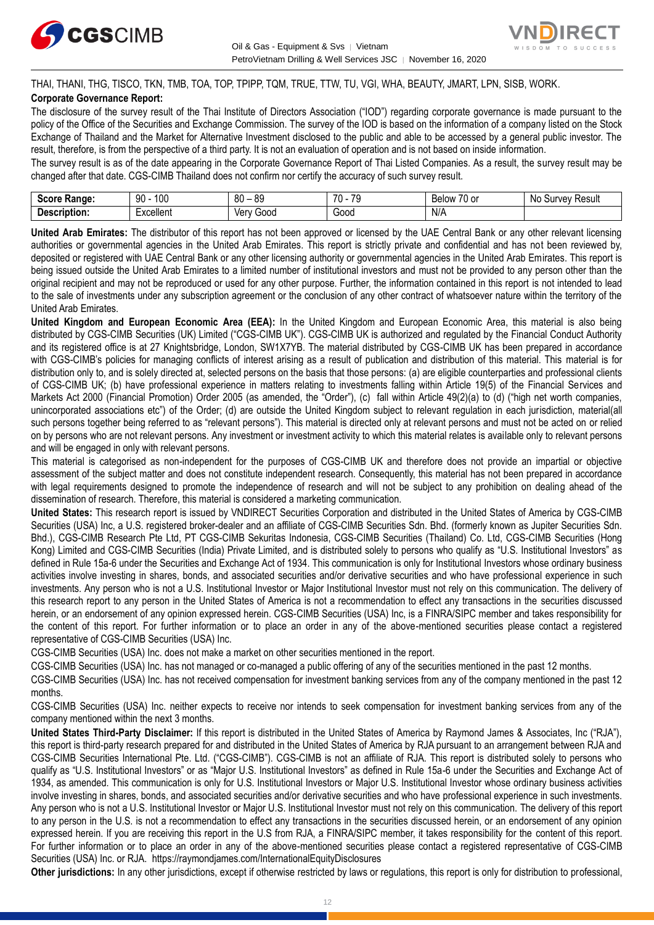



THAI, THANI, THG, TISCO, TKN, TMB, TOA, TOP, TPIPP, TQM, TRUE, TTW, TU, VGI, WHA, BEAUTY, JMART, LPN, SISB, WORK. **Corporate Governance Report:**

The disclosure of the survey result of the Thai Institute of Directors Association ("IOD") regarding corporate governance is made pursuant to the policy of the Office of the Securities and Exchange Commission. The survey of the IOD is based on the information of a company listed on the Stock Exchange of Thailand and the Market for Alternative Investment disclosed to the public and able to be accessed by a general public investor. The result, therefore, is from the perspective of a third party. It is not an evaluation of operation and is not based on inside information.

The survey result is as of the date appearing in the Corporate Governance Report of Thai Listed Companies. As a result, the survey result may be changed after that date. CGS-CIMB Thailand does not confirm nor certify the accuracy of such survey result.

| Score<br>Range:   | 100<br>90 | 80<br>n n<br>~<br>ັບ | 70<br>$\overline{\phantom{a}}$<br>u | $\sim$ $\sim$<br>u or<br>Below | Result<br>Nc<br>survey. |
|-------------------|-----------|----------------------|-------------------------------------|--------------------------------|-------------------------|
| -<br>Description: | ∶xcellent | 300C<br>Verv         | -<br>Good                           | N/A                            |                         |

**United Arab Emirates:** The distributor of this report has not been approved or licensed by the UAE Central Bank or any other relevant licensing authorities or governmental agencies in the United Arab Emirates. This report is strictly private and confidential and has not been reviewed by, deposited or registered with UAE Central Bank or any other licensing authority or governmental agencies in the United Arab Emirates. This report is being issued outside the United Arab Emirates to a limited number of institutional investors and must not be provided to any person other than the original recipient and may not be reproduced or used for any other purpose. Further, the information contained in this report is not intended to lead to the sale of investments under any subscription agreement or the conclusion of any other contract of whatsoever nature within the territory of the United Arab Emirates.

**United Kingdom and European Economic Area (EEA):** In the United Kingdom and European Economic Area, this material is also being distributed by CGS-CIMB Securities (UK) Limited ("CGS-CIMB UK"). CGS-CIMB UK is authorized and regulated by the Financial Conduct Authority and its registered office is at 27 Knightsbridge, London, SW1X7YB. The material distributed by CGS-CIMB UK has been prepared in accordance with CGS-CIMB's policies for managing conflicts of interest arising as a result of publication and distribution of this material. This material is for distribution only to, and is solely directed at, selected persons on the basis that those persons: (a) are eligible counterparties and professional clients of CGS-CIMB UK; (b) have professional experience in matters relating to investments falling within Article 19(5) of the Financial Services and Markets Act 2000 (Financial Promotion) Order 2005 (as amended, the "Order"), (c) fall within Article 49(2)(a) to (d) ("high net worth companies, unincorporated associations etc") of the Order; (d) are outside the United Kingdom subject to relevant regulation in each jurisdiction, material(all such persons together being referred to as "relevant persons"). This material is directed only at relevant persons and must not be acted on or relied on by persons who are not relevant persons. Any investment or investment activity to which this material relates is available only to relevant persons and will be engaged in only with relevant persons.

This material is categorised as non-independent for the purposes of CGS-CIMB UK and therefore does not provide an impartial or objective assessment of the subject matter and does not constitute independent research. Consequently, this material has not been prepared in accordance with legal requirements designed to promote the independence of research and will not be subject to any prohibition on dealing ahead of the dissemination of research. Therefore, this material is considered a marketing communication.

**United States:** This research report is issued by VNDIRECT Securities Corporation and distributed in the United States of America by CGS-CIMB Securities (USA) Inc, a U.S. registered broker-dealer and an affiliate of CGS-CIMB Securities Sdn. Bhd. (formerly known as Jupiter Securities Sdn. Bhd.), CGS-CIMB Research Pte Ltd, PT CGS-CIMB Sekuritas Indonesia, CGS-CIMB Securities (Thailand) Co. Ltd, CGS-CIMB Securities (Hong Kong) Limited and CGS-CIMB Securities (India) Private Limited, and is distributed solely to persons who qualify as "U.S. Institutional Investors" as defined in Rule 15a-6 under the Securities and Exchange Act of 1934. This communication is only for Institutional Investors whose ordinary business activities involve investing in shares, bonds, and associated securities and/or derivative securities and who have professional experience in such investments. Any person who is not a U.S. Institutional Investor or Major Institutional Investor must not rely on this communication. The delivery of this research report to any person in the United States of America is not a recommendation to effect any transactions in the securities discussed herein, or an endorsement of any opinion expressed herein. CGS-CIMB Securities (USA) Inc, is a FINRA/SIPC member and takes responsibility for the content of this report. For further information or to place an order in any of the above-mentioned securities please contact a registered representative of CGS-CIMB Securities (USA) Inc.

CGS-CIMB Securities (USA) Inc. does not make a market on other securities mentioned in the report.

CGS-CIMB Securities (USA) Inc. has not managed or co-managed a public offering of any of the securities mentioned in the past 12 months.

CGS-CIMB Securities (USA) Inc. has not received compensation for investment banking services from any of the company mentioned in the past 12 months.

CGS-CIMB Securities (USA) Inc. neither expects to receive nor intends to seek compensation for investment banking services from any of the company mentioned within the next 3 months.

**United States Third-Party Disclaimer:** If this report is distributed in the United States of America by Raymond James & Associates, Inc ("RJA"), this report is third-party research prepared for and distributed in the United States of America by RJA pursuant to an arrangement between RJA and CGS-CIMB Securities International Pte. Ltd. ("CGS-CIMB"). CGS-CIMB is not an affiliate of RJA. This report is distributed solely to persons who qualify as "U.S. Institutional Investors" or as "Major U.S. Institutional Investors" as defined in Rule 15a-6 under the Securities and Exchange Act of 1934, as amended. This communication is only for U.S. Institutional Investors or Major U.S. Institutional Investor whose ordinary business activities involve investing in shares, bonds, and associated securities and/or derivative securities and who have professional experience in such investments. Any person who is not a U.S. Institutional Investor or Major U.S. Institutional Investor must not rely on this communication. The delivery of this report to any person in the U.S. is not a recommendation to effect any transactions in the securities discussed herein, or an endorsement of any opinion expressed herein. If you are receiving this report in the U.S from RJA, a FINRA/SIPC member, it takes responsibility for the content of this report. For further information or to place an order in any of the above-mentioned securities please contact a registered representative of CGS-CIMB Securities (USA) Inc. or RJA.<https://raymondjames.com/InternationalEquityDisclosures>

**Other jurisdictions:** In any other jurisdictions, except if otherwise restricted by laws or regulations, this report is only for distribution to professional,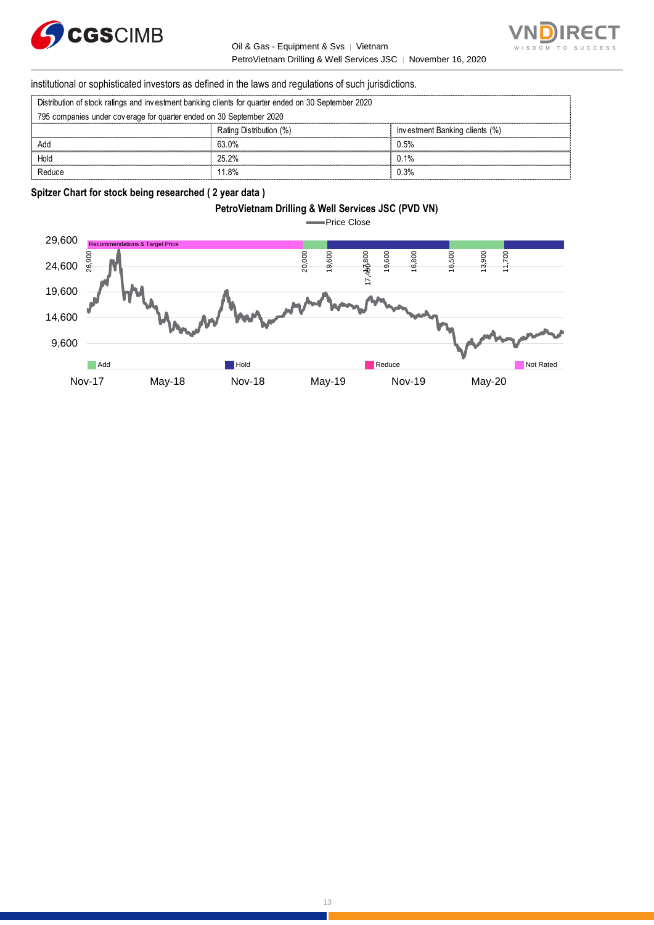



institutional or sophisticated investors as defined in the laws and regulations of such jurisdictions. PetroVietnam Drilling & Well Service<br>
Stitutional or sophisticated investors as defined in the laws and regulations of such ju<br>
Distribution of stock ratings and investment banking clients for quarter ended on 30 September

|                                                                                                     | institutional or sophisticated investors as defined in the laws and regulations of such jurisdictions. |                                |  |
|-----------------------------------------------------------------------------------------------------|--------------------------------------------------------------------------------------------------------|--------------------------------|--|
| Distribution of stock ratings and investment banking clients for quarter ended on 30 September 2020 |                                                                                                        |                                |  |
| 795 companies under coverage for quarter ended on 30 September 2020                                 |                                                                                                        |                                |  |
|                                                                                                     | Rating Distribution (%)                                                                                | Investment Banking clients (%) |  |
| Add                                                                                                 | 63.0%                                                                                                  | 0.5%                           |  |
| Hold                                                                                                | 25 2%                                                                                                  | 0.1%                           |  |
| Reduce                                                                                              | 11 8%                                                                                                  | በ 3%                           |  |

#### **Spitzer Chart for stock being researched ( 2 year data )**

### **PetroVietnam Drilling & Well Services JSC (PVD VN)**

Price Close

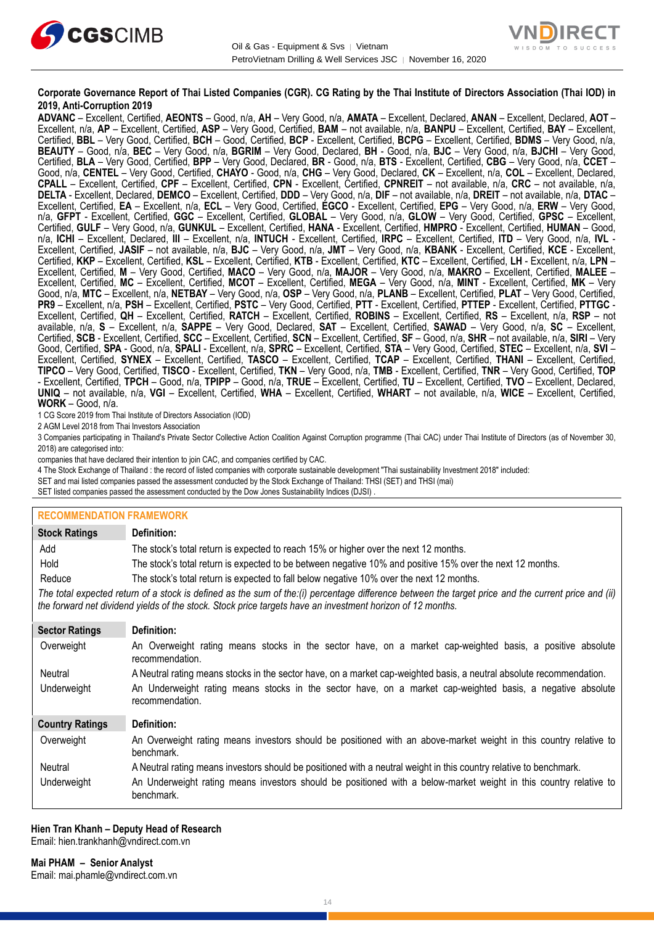



#### **Corporate Governance Report of Thai Listed Companies (CGR). CG Rating by the Thai Institute of Directors Association (Thai IOD) in 2019, Anti-Corruption 2019**

**ADVANC** – Excellent, Certified, **AEONTS** – Good, n/a, **AH** – Very Good, n/a, **AMATA** – Excellent, Declared, **ANAN** – Excellent, Declared, **AOT** – Excellent, n/a, **AP** – Excellent, Certified, **ASP** – Very Good, Certified, **BAM** – not available, n/a, **BANPU** – Excellent, Certified, **BAY** – Excellent, Certified, **BBL** – Very Good, Certified, **BCH** – Good, Certified, **BCP** - Excellent, Certified, **BCPG** – Excellent, Certified, **BDMS** – Very Good, n/a, **BEAUTY** – Good, n/a, **BEC** – Very Good, n/a, **BGRIM** – Very Good, Declared, **BH** - Good, n/a, **BJC** – Very Good, n/a, **BJCHI** – Very Good, Certified, **BLA** – Very Good, Certified, **BPP** – Very Good, Declared, **BR** - Good, n/a, **BTS** - Excellent, Certified, **CBG** – Very Good, n/a, **CCET** – Good, n/a, **CENTEL** – Very Good, Certified, **CHAYO** - Good, n/a, **CHG** – Very Good, Declared, **CK** – Excellent, n/a, **COL** – Excellent, Declared, **CPALL** – Excellent, Certified, **CPF** – Excellent, Certified, **CPN** - Excellent, Certified, **CPNREIT** – not available, n/a, **CRC** – not available, n/a, **DELTA** - Excellent, Declared, **DEMCO** – Excellent, Certified, **DDD** – Very Good, n/a, **DIF** – not available, n/a, **DREIT** – not available, n/a, **DTAC** – Excellent, Certified, **EA** – Excellent, n/a, **ECL** – Very Good, Certified, **EGCO** - Excellent, Certified, **EPG** – Very Good, n/a, **ERW** – Very Good, n/a, **GFPT** - Excellent, Certified, **GGC** – Excellent, Certified, **GLOBAL** – Very Good, n/a, **GLOW** – Very Good, Certified, **GPSC** – Excellent, Certified, **GULF** – Very Good, n/a, **GUNKUL** – Excellent, Certified, **HANA** - Excellent, Certified, **HMPRO** - Excellent, Certified, **HUMAN** – Good, n/a, **ICHI** – Excellent, Declared, **III** – Excellent, n/a, **INTUCH** - Excellent, Certified, **IRPC** – Excellent, Certified, **ITD** – Very Good, n/a, **IVL** - Excellent, Certified, **JASIF** – not available, n/a, **BJC** – Very Good, n/a, **JMT** – Very Good, n/a, **KBANK** - Excellent, Certified, **KCE** - Excellent, Certified, **KKP** – Excellent, Certified, **KSL** – Excellent, Certified, **KTB** - Excellent, Certified, **KTC** – Excellent, Certified, **LH** - Excellent, n/a, **LPN** – Excellent, Certified, **M** – Very Good, Certified, **MACO** – Very Good, n/a, **MAJOR** – Very Good, n/a, **MAKRO** – Excellent, Certified, **MALEE** – Excellent, Certified, **MC** – Excellent, Certified, **MCOT** – Excellent, Certified, **MEGA** – Very Good, n/a, **MINT** - Excellent, Certified, **MK** – Very Good, n/a, **MTC** – Excellent, n/a, **NETBAY** – Very Good, n/a, **OSP** – Very Good, n/a, **PLANB** – Excellent, Certified, **PLAT** – Very Good, Certified, **PR9** – Excellent, n/a, **PSH** – Excellent, Certified, **PSTC** – Very Good, Certified, **PTT** - Excellent, Certified, **PTTEP** - Excellent, Certified, **PTTGC** - Excellent, Certified, **QH** – Excellent, Certified, **RATCH** – Excellent, Certified, **ROBINS** – Excellent, Certified, **RS** – Excellent, n/a, **RSP** – not available, n/a, **S** – Excellent, n/a, **SAPPE** – Very Good, Declared, **SAT** – Excellent, Certified, **SAWAD** – Very Good, n/a, **SC** – Excellent, Certified, **SCB** - Excellent, Certified, **SCC** – Excellent, Certified, **SCN** – Excellent, Certified, **SF** – Good, n/a, **SHR** – not available, n/a, **SIRI** – Very Good, Certified, **SPA** - Good, n/a, **SPALI** - Excellent, n/a, **SPRC** – Excellent, Certified, **STA** – Very Good, Certified, **STEC** – Excellent, n/a, **SVI** – Excellent, Certified, **SYNEX** – Excellent, Certified, **TASCO** – Excellent, Certified, **TCAP** – Excellent, Certified, **THANI** – Excellent, Certified, **TIPCO** – Very Good, Certified, **TISCO** - Excellent, Certified, **TKN** – Very Good, n/a, **TMB** - Excellent, Certified, **TNR** – Very Good, Certified, **TOP** - Excellent, Certified, **TPCH** – Good, n/a, **TPIPP** – Good, n/a, **TRUE** – Excellent, Certified, **TU** – Excellent, Certified, **TVO** – Excellent, Declared, **UNIQ** – not available, n/a, **VGI** – Excellent, Certified, **WHA** – Excellent, Certified, **WHART** – not available, n/a, **WICE** – Excellent, Certified, **WORK** – Good, n/a.

1 CG Score 2019 from Thai Institute of Directors Association (IOD)

2 AGM Level 2018 from Thai Investors Association

3 Companies participating in Thailand's Private Sector Collective Action Coalition Against Corruption programme (Thai CAC) under Thai Institute of Directors (as of November 30, 2018) are categorised into:

companies that have declared their intention to join CAC, and companies certified by CAC.

4 [The Stock Exchange of Thailand : the record of listed companies with corporate sustainable development "Thai sustainability Investment 2018" included:](http://www.set.or.th/sustainable_dev/en/sr/sri/tsi_p1.html)

SET and mai listed companies passed the assessment conducted by the Stock Exchange of Thailand: THSI (SET) and THSI (mai)

SET listed companies passed the assessment conducted by the Dow Jones Sustainability Indices (DJSI) .

#### **RECOMMENDATION FRAMEWORK**

| <b>Stock Ratings</b>   | Definition:                                                                                                                                                                                                                                                       |
|------------------------|-------------------------------------------------------------------------------------------------------------------------------------------------------------------------------------------------------------------------------------------------------------------|
| Add                    | The stock's total return is expected to reach 15% or higher over the next 12 months.                                                                                                                                                                              |
| Hold                   | The stock's total return is expected to be between negative 10% and positive 15% over the next 12 months.                                                                                                                                                         |
| Reduce                 | The stock's total return is expected to fall below negative 10% over the next 12 months.                                                                                                                                                                          |
|                        | The total expected return of a stock is defined as the sum of the:(i) percentage difference between the target price and the current price and (ii)<br>the forward net dividend yields of the stock. Stock price targets have an investment horizon of 12 months. |
| <b>Sector Ratings</b>  | Definition:                                                                                                                                                                                                                                                       |
| Overweight             | An Overweight rating means stocks in the sector have, on a market cap-weighted basis, a positive absolute<br>recommendation.                                                                                                                                      |
| Neutral                | A Neutral rating means stocks in the sector have, on a market cap-weighted basis, a neutral absolute recommendation.                                                                                                                                              |
| Underweight            | An Underweight rating means stocks in the sector have, on a market cap-weighted basis, a negative absolute<br>recommendation.                                                                                                                                     |
| <b>Country Ratings</b> | Definition:                                                                                                                                                                                                                                                       |
| Overweight             | An Overweight rating means investors should be positioned with an above-market weight in this country relative to<br>benchmark.                                                                                                                                   |
| Neutral                | A Neutral rating means investors should be positioned with a neutral weight in this country relative to benchmark.                                                                                                                                                |
| Underweight            | An Underweight rating means investors should be positioned with a below-market weight in this country relative to<br>benchmark.                                                                                                                                   |

#### **Hien Tran Khanh – Deputy Head of Research** Email: [hien.trankhanh@vndirect.com.vn](mailto:hien.trankhanh@vndirect.com.vn)

**Mai PHAM – Senior Analyst** Email: [mai.phamle@vndirect.com.vn](mailto:mai.phamle@vndirect.com.vn)